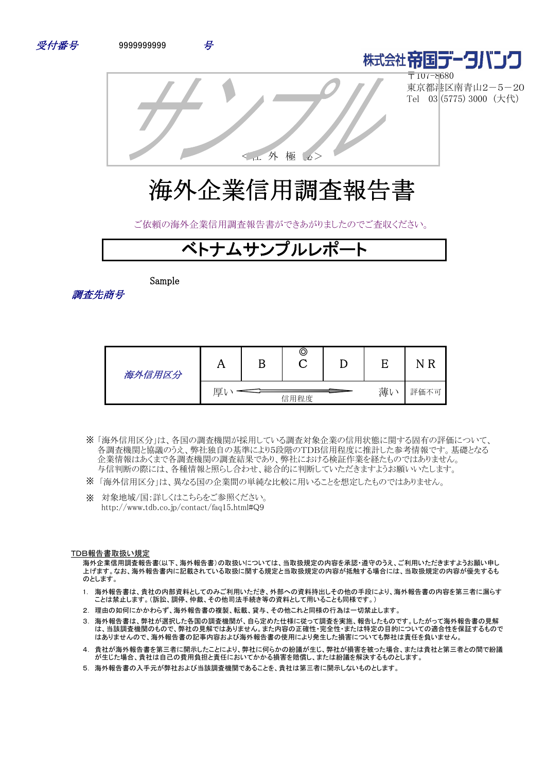



〒107-8680 東京都港区南青山2-5-20 Tel 03 (5775) 3000 (大代)

<社 外 極 秘>

# 海外企業信用調査報告書

ご依頼の海外企業信用調査報告書ができあがりましたのでご査収ください。

# ベトナムサンプルレポ

Sample

調査先商号

| 海外信用区分 | 77 | ©    |    |      |
|--------|----|------|----|------|
|        | 厚  | 信用程度 | 薄い | 評価不可 |

- 「海外信用区分」は、各国の調査機関が採用している調査対象企業の信用状態に関する固有の評価について、 ※ 各調査機関と協議のうえ、弊社独自の基準により5段階のTDB信用程度に推計した参考情報です。基礎となる 企業情報はあくまで各調査機関の調査結果であり、弊社における検証作業を経たものではありません。 与信判断の際には、各種情報と照らし合わせ、総合的に判断していただきますようお願いいたします。
- ※ 「海外信用区分」は、異なる国の企業間の単純な比較に用いることを想定したものではありません。
- ※ 対象地域/国:詳しくはこちらをご参照ください。 http://www.tdb.co.jp/contact/faq15.html#Q9

#### TDB報告書取扱い規定

海外企業信用調査報告書(以下、海外報告書)の取扱いについては、当取扱規定の内容を承認・遵守のうえ、ご利用いただきますようお願い申し 上げます。なお、海外報告書内に記載されている取扱に関する規定と当取扱規定の内容が抵触する場合には、当取扱規定の内容が優先するも のとします。

- 1. 海外報告書は、貴社の内部資料としてのみご利用いただき、外部への資料持出しその他の手段により、海外報告書の内容を第三者に漏らす ことは禁止します。(訴訟、調停、仲裁、その他司法手続き等の資料として用いることも同様です。)
- 2. 理由の如何にかかわらず、海外報告書の複製、転載、貸与、その他これと同様の行為は一切禁止します。
- 3. 海外報告書は、弊社が選択した各国の調査機関が、自ら定めた仕様に従って調査を実施、報告したものです。したがって海外報告書の見解 は、当該調査機関のもので、弊社の見解ではありません。また内容の正確性・完全性・または特定の目的についての適合性を保証するもので はありませんので、海外報告書の記事内容および海外報告書の使用により発生した損害についても弊社は責任を負いません。
- 4. 貴社が海外報告書を第三者に開示したことにより、弊社に何らかの紛議が生じ、弊社が損害を被った場合、または貴社と第三者との間で紛議 が生じた場合、貴社は自己の費用負担と責任においてかかる損害を賠償し、または紛議を解決するものとします。
- 5. 海外報告書の入手元が弊社および当該調査機関であることを、貴社は第三者に開示しないものとします。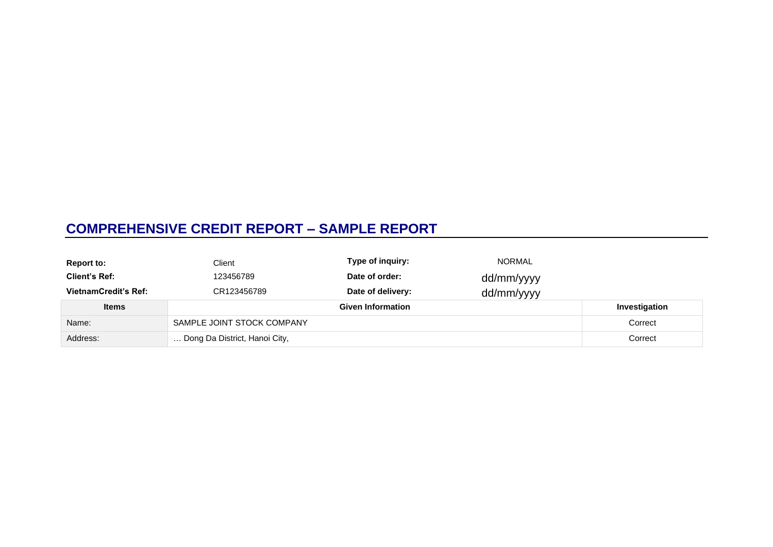## **COMPREHENSIVE CREDIT REPORT – SAMPLE REPORT**

| <b>Report to:</b>           | Client                        | Type of inquiry:         | <b>NORMAL</b> |               |
|-----------------------------|-------------------------------|--------------------------|---------------|---------------|
| <b>Client's Ref:</b>        | 123456789                     | Date of order:           | dd/mm/yyyy    |               |
| <b>VietnamCredit's Ref:</b> | CR123456789                   | Date of delivery:        | dd/mm/yyyy    |               |
| <b>Items</b>                |                               | <b>Given Information</b> |               | Investigation |
| Name:                       | SAMPLE JOINT STOCK COMPANY    |                          |               | Correct       |
| Address:                    | Dong Da District, Hanoi City, |                          |               | Correct       |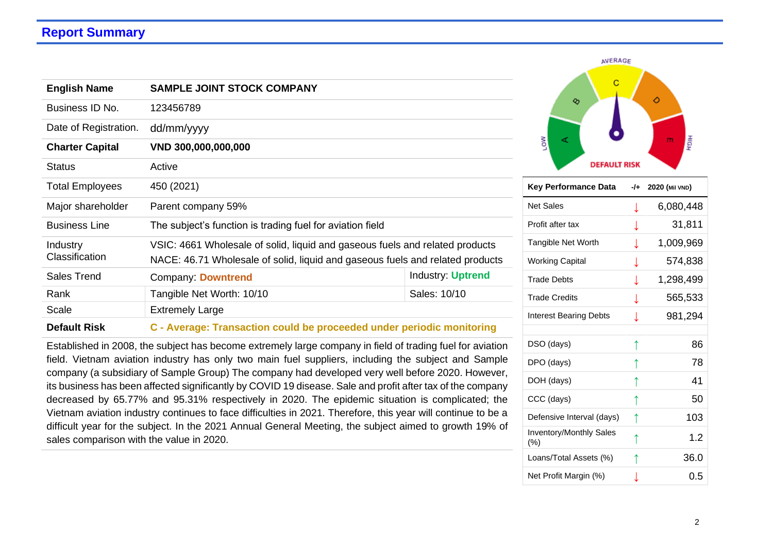## **Report Summary**

| <b>English Name</b>        | <b>SAMPLE JOINT STOCK COMPANY</b>                                                                                                                             |                          |  |
|----------------------------|---------------------------------------------------------------------------------------------------------------------------------------------------------------|--------------------------|--|
| Business ID No.            | 123456789                                                                                                                                                     |                          |  |
| Date of Registration.      | dd/mm/yyyy                                                                                                                                                    |                          |  |
| <b>Charter Capital</b>     | VND 300,000,000,000                                                                                                                                           |                          |  |
| <b>Status</b>              | Active                                                                                                                                                        |                          |  |
| <b>Total Employees</b>     | 450 (2021)                                                                                                                                                    |                          |  |
| Major shareholder          | Parent company 59%                                                                                                                                            |                          |  |
| <b>Business Line</b>       | The subject's function is trading fuel for aviation field                                                                                                     |                          |  |
| Industry<br>Classification | VSIC: 4661 Wholesale of solid, liquid and gaseous fuels and related products<br>NACE: 46.71 Wholesale of solid, liquid and gaseous fuels and related products |                          |  |
| Sales Trend                | Company: Downtrend                                                                                                                                            | <b>Industry: Uptrend</b> |  |
| Rank                       | Tangible Net Worth: 10/10                                                                                                                                     | Sales: 10/10             |  |
| Scale                      | <b>Extremely Large</b>                                                                                                                                        |                          |  |
| <b>Default Risk</b>        | C - Average: Transaction could be proceeded under periodic monitoring                                                                                         |                          |  |

Established in 2008, the subject has become extremely large company in field of trading fuel for aviation field. Vietnam aviation industry has only two main fuel suppliers, including the subject and Sample company (a subsidiary of Sample Group) The company had developed very well before 2020. However, its business has been affected significantly by COVID 19 disease. Sale and profit after tax of the company decreased by 65.77% and 95.31% respectively in 2020. The epidemic situation is complicated; the Vietnam aviation industry continues to face difficulties in 2021. Therefore, this year will continue to be a difficult year for the subject. In the 2021 Annual General Meeting, the subject aimed to growth 19% of sales comparison with the value in 2020.



| Key Performance Data                  | -/+ | 2020 (Mil VND) |
|---------------------------------------|-----|----------------|
| <b>Net Sales</b>                      | ↓   | 6,080,448      |
| Profit after tax                      | ↓   | 31,811         |
| Tangible Net Worth                    |     | 1,009,969      |
| <b>Working Capital</b>                | ↓   | 574,838        |
| <b>Trade Debts</b>                    | ↓   | 1,298,499      |
| <b>Trade Credits</b>                  | T   | 565,533        |
| <b>Interest Bearing Debts</b>         |     | 981,294        |
|                                       |     |                |
| DSO (days)                            | ↑   | 86             |
| DPO (days)                            |     | 78             |
| DOH (days)                            | ↑   | 41             |
| CCC (days)                            | ↑   | 50             |
| Defensive Interval (days)             | ↑   | 103            |
| <b>Inventory/Monthly Sales</b><br>(%) | ↑   | 1.2            |
| Loans/Total Assets (%)                | ↑   | 36.0           |
| Net Profit Margin (%)                 |     | 0.5            |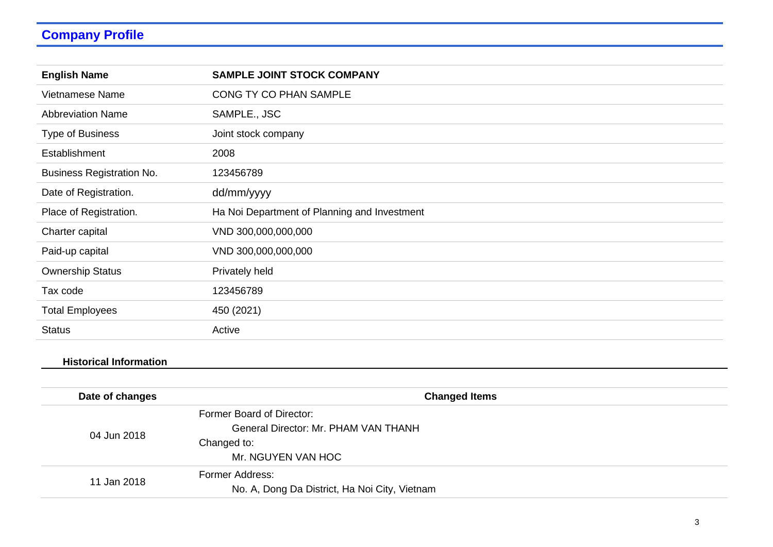# **Company Profile**

| <b>English Name</b>              | <b>SAMPLE JOINT STOCK COMPANY</b>            |
|----------------------------------|----------------------------------------------|
| Vietnamese Name                  | CONG TY CO PHAN SAMPLE                       |
| <b>Abbreviation Name</b>         | SAMPLE., JSC                                 |
| <b>Type of Business</b>          | Joint stock company                          |
| Establishment                    | 2008                                         |
| <b>Business Registration No.</b> | 123456789                                    |
| Date of Registration.            | dd/mm/yyyy                                   |
| Place of Registration.           | Ha Noi Department of Planning and Investment |
| Charter capital                  | VND 300,000,000,000                          |
| Paid-up capital                  | VND 300,000,000,000                          |
| <b>Ownership Status</b>          | Privately held                               |
| Tax code                         | 123456789                                    |
| <b>Total Employees</b>           | 450 (2021)                                   |
| <b>Status</b>                    | Active                                       |

### **Historical Information**

| Date of changes | <b>Changed Items</b>                          |
|-----------------|-----------------------------------------------|
|                 | Former Board of Director:                     |
|                 | General Director: Mr. PHAM VAN THANH          |
| 04 Jun 2018     | Changed to:                                   |
|                 | Mr. NGUYEN VAN HOC                            |
| 11 Jan 2018     | Former Address:                               |
|                 | No. A, Dong Da District, Ha Noi City, Vietnam |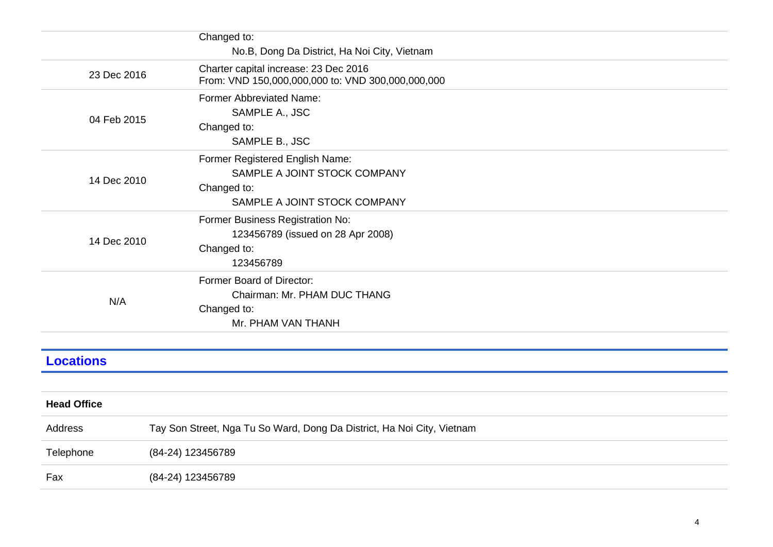|                    | Changed to:<br>No.B, Dong Da District, Ha Noi City, Vietnam                                                    |  |
|--------------------|----------------------------------------------------------------------------------------------------------------|--|
| 23 Dec 2016        | Charter capital increase: 23 Dec 2016<br>From: VND 150,000,000,000 to: VND 300,000,000,000                     |  |
| 04 Feb 2015        | Former Abbreviated Name:<br>SAMPLE A., JSC<br>Changed to:<br>SAMPLE B., JSC                                    |  |
| 14 Dec 2010        | Former Registered English Name:<br>SAMPLE A JOINT STOCK COMPANY<br>Changed to:<br>SAMPLE A JOINT STOCK COMPANY |  |
| 14 Dec 2010        | Former Business Registration No:<br>123456789 (issued on 28 Apr 2008)<br>Changed to:<br>123456789              |  |
| N/A                | Former Board of Director:<br>Chairman: Mr. PHAM DUC THANG<br>Changed to:<br>Mr. PHAM VAN THANH                 |  |
| <b>Locations</b>   |                                                                                                                |  |
|                    |                                                                                                                |  |
| <b>Head Office</b> |                                                                                                                |  |
| Address            | Tay Son Street, Nga Tu So Ward, Dong Da District, Ha Noi City, Vietnam                                         |  |
| Telephone          | (84-24) 123456789                                                                                              |  |
| Fax                | (84-24) 123456789                                                                                              |  |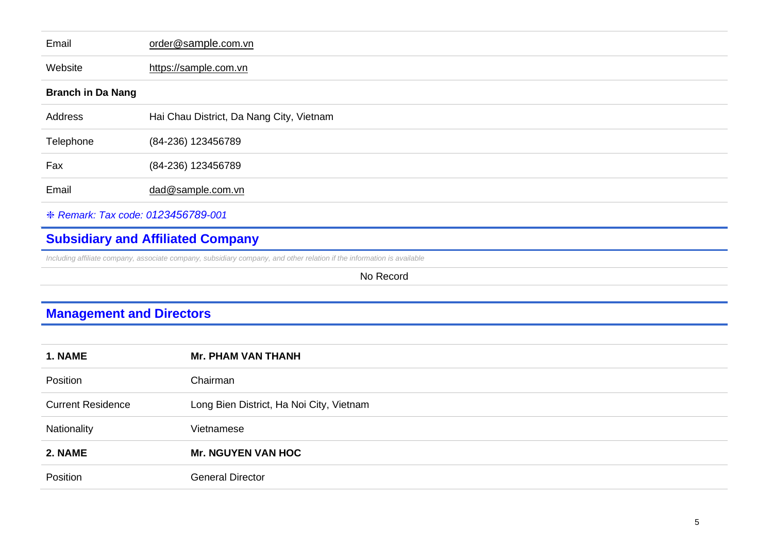| Email                              | order@sample.com.vn                      |
|------------------------------------|------------------------------------------|
| Website                            | https://sample.com.vn                    |
| <b>Branch in Da Nang</b>           |                                          |
| Address                            | Hai Chau District, Da Nang City, Vietnam |
| Telephone                          | (84-236) 123456789                       |
| Fax                                | (84-236) 123456789                       |
| Email                              | dad@sample.com.vn                        |
| * Remark: Tax code: 0123456789-001 |                                          |

# **Subsidiary and Affiliated Company**

*Including affiliate company, associate company, subsidiary company, and other relation if the information is available* 

No Record

# **Management and Directors**

| 1. NAME                  | <b>Mr. PHAM VAN THANH</b>                |
|--------------------------|------------------------------------------|
| Position                 | Chairman                                 |
| <b>Current Residence</b> | Long Bien District, Ha Noi City, Vietnam |
| Nationality              | Vietnamese                               |
| 2. NAME                  | <b>Mr. NGUYEN VAN HOC</b>                |
| Position                 | <b>General Director</b>                  |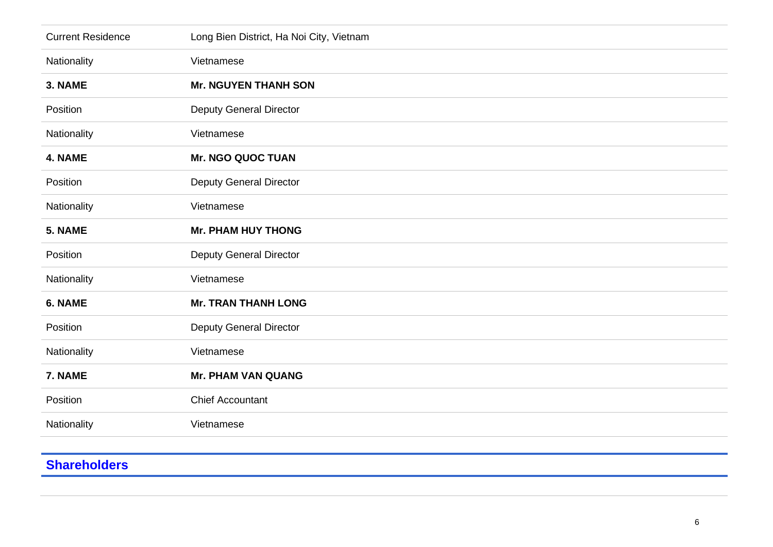| <b>Current Residence</b> | Long Bien District, Ha Noi City, Vietnam |
|--------------------------|------------------------------------------|
| Nationality              | Vietnamese                               |
| 3. NAME                  | <b>Mr. NGUYEN THANH SON</b>              |
| Position                 | <b>Deputy General Director</b>           |
| Nationality              | Vietnamese                               |
| 4. NAME                  | <b>Mr. NGO QUOC TUAN</b>                 |
| Position                 | <b>Deputy General Director</b>           |
| Nationality              | Vietnamese                               |
| 5. NAME                  | <b>Mr. PHAM HUY THONG</b>                |
| Position                 | <b>Deputy General Director</b>           |
| Nationality              | Vietnamese                               |
| 6. NAME                  | <b>Mr. TRAN THANH LONG</b>               |
| Position                 | <b>Deputy General Director</b>           |
| Nationality              | Vietnamese                               |
| 7. NAME                  | <b>Mr. PHAM VAN QUANG</b>                |
| Position                 | <b>Chief Accountant</b>                  |
| Nationality              | Vietnamese                               |
|                          |                                          |

# **Shareholders**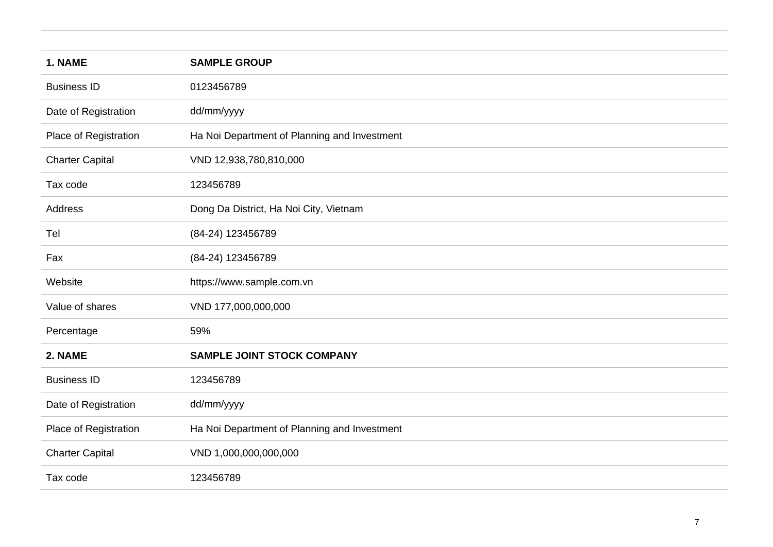| 1. NAME                | <b>SAMPLE GROUP</b>                          |
|------------------------|----------------------------------------------|
| <b>Business ID</b>     | 0123456789                                   |
| Date of Registration   | dd/mm/yyyy                                   |
| Place of Registration  | Ha Noi Department of Planning and Investment |
| <b>Charter Capital</b> | VND 12,938,780,810,000                       |
| Tax code               | 123456789                                    |
| Address                | Dong Da District, Ha Noi City, Vietnam       |
| Tel                    | (84-24) 123456789                            |
| Fax                    | (84-24) 123456789                            |
| Website                | https://www.sample.com.vn                    |
| Value of shares        | VND 177,000,000,000                          |
| Percentage             | 59%                                          |
| 2. NAME                | <b>SAMPLE JOINT STOCK COMPANY</b>            |
| <b>Business ID</b>     | 123456789                                    |
| Date of Registration   | dd/mm/yyyy                                   |
| Place of Registration  | Ha Noi Department of Planning and Investment |
| <b>Charter Capital</b> | VND 1,000,000,000,000                        |
| Tax code               | 123456789                                    |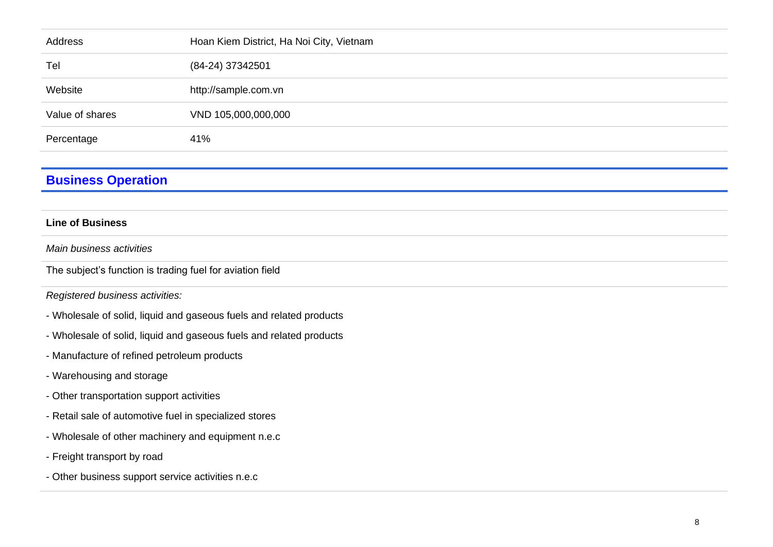| Address         | Hoan Kiem District, Ha Noi City, Vietnam |
|-----------------|------------------------------------------|
| Tel             | (84-24) 37342501                         |
| Website         | http://sample.com.vn                     |
| Value of shares | VND 105,000,000,000                      |
| Percentage      | 41%                                      |
|                 |                                          |

## **Business Operation**

#### **Line of Business**

*Main business activities* 

The subject's function is trading fuel for aviation field

*Registered business activities:*

- Wholesale of solid, liquid and gaseous fuels and related products
- Wholesale of solid, liquid and gaseous fuels and related products
- Manufacture of refined petroleum products
- Warehousing and storage
- Other transportation support activities
- Retail sale of automotive fuel in specialized stores
- Wholesale of other machinery and equipment n.e.c
- Freight transport by road
- Other business support service activities n.e.c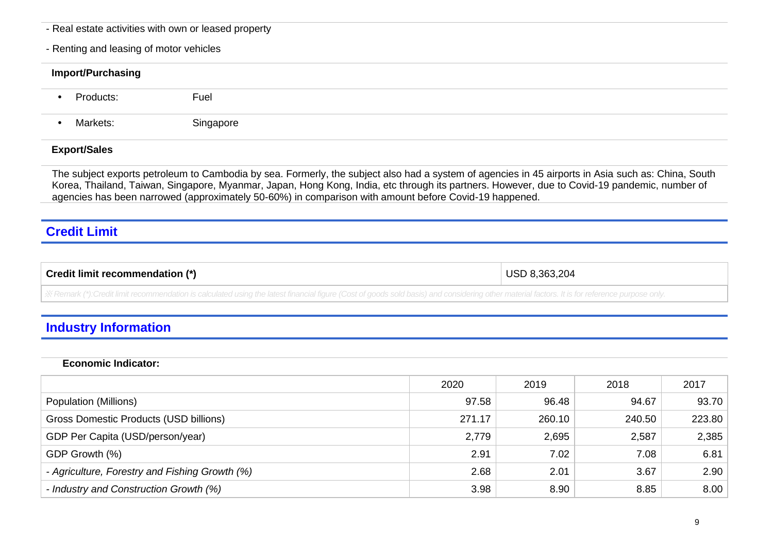- Real estate activities with own or leased property
- Renting and leasing of motor vehicles

# **Import/Purchasing •** Products: Fuel

**•** Markets: Singapore

#### **Export/Sales**

The subject exports petroleum to Cambodia by sea. Formerly, the subject also had a system of agencies in 45 airports in Asia such as: China, South Korea, Thailand, Taiwan, Singapore, Myanmar, Japan, Hong Kong, India, etc through its partners. However, due to Covid-19 pandemic, number of agencies has been narrowed (approximately 50-60%) in comparison with amount before Covid-19 happened.

## **Credit Limit**

| <b>Credit limit</b><br>rınn.<br>recommenga | ิวคว<br>` 2∩∠ |
|--------------------------------------------|---------------|
|                                            |               |

※ *Remark (\*):Credit limit recommendation is calculated using the latest financial figure (Cost of goods sold basis) and considering other material factors. It is for reference purpose only.*

## **Industry Information**

#### **Economic Indicator:**

|                                                | 2020   | 2019   | 2018   | 2017   |
|------------------------------------------------|--------|--------|--------|--------|
| Population (Millions)                          | 97.58  | 96.48  | 94.67  | 93.70  |
| Gross Domestic Products (USD billions)         | 271.17 | 260.10 | 240.50 | 223.80 |
| GDP Per Capita (USD/person/year)               | 2,779  | 2,695  | 2,587  | 2,385  |
| GDP Growth (%)                                 | 2.91   | 7.02   | 7.08   | 6.81   |
| - Agriculture, Forestry and Fishing Growth (%) | 2.68   | 2.01   | 3.67   | 2.90   |
| - Industry and Construction Growth (%)         | 3.98   | 8.90   | 8.85   | 8.00   |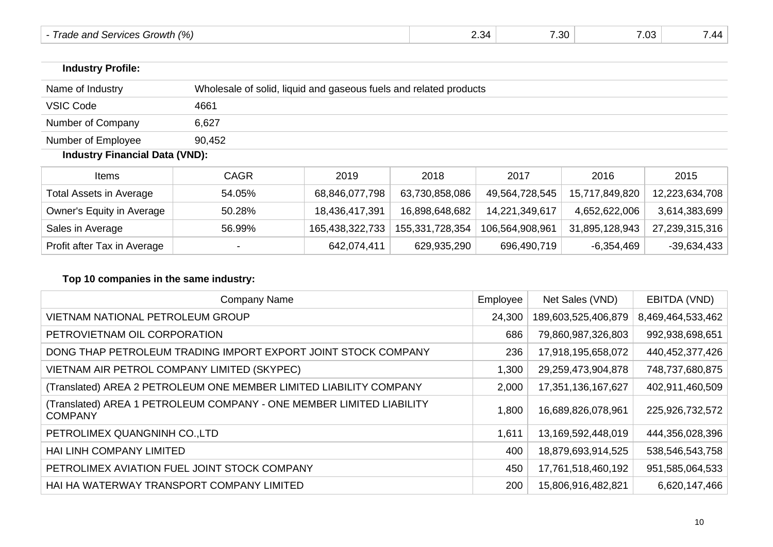| rowth (%)<br>and<br>:anncae<br>rod<br>.<br>' Iduc<br>$\cdot$<br>,,,,,,, | -34. | $\sim$<br>. .<br>. .<br>.∪ | 02 7<br>1.03 | $\overline{\phantom{a}}$<br>,,, |
|-------------------------------------------------------------------------|------|----------------------------|--------------|---------------------------------|
|-------------------------------------------------------------------------|------|----------------------------|--------------|---------------------------------|

| <b>Industry Profile:</b> |                                                                   |
|--------------------------|-------------------------------------------------------------------|
| Name of Industry         | Wholesale of solid, liquid and gaseous fuels and related products |
| VSIC Code                | 4661                                                              |
| Number of Company        | 6,627                                                             |
| Number of Employee       | 90,452                                                            |

## **Industry Financial Data (VND):**

| Items                       | <b>CAGR</b>              | 2019            | 2018            | 2017            | 2016           | 2015           |
|-----------------------------|--------------------------|-----------------|-----------------|-----------------|----------------|----------------|
| Total Assets in Average     | 54.05%                   | 68,846,077,798  | 63,730,858,086  | 49,564,728,545  | 15,717,849,820 | 12,223,634,708 |
| Owner's Equity in Average   | 50.28%                   | 18,436,417,391  | 16,898,648,682  | 14,221,349,617  | 4,652,622,006  | 3,614,383,699  |
| Sales in Average            | 56.99%                   | 165,438,322,733 | 155,331,728,354 | 106,564,908,961 | 31,895,128,943 | 27,239,315,316 |
| Profit after Tax in Average | $\overline{\phantom{a}}$ | 642,074,411     | 629,935,290     | 696,490,719     | $-6,354,469$   | -39,634,433    |

## **Top 10 companies in the same industry:**

| Company Name                                                                            | Employee | Net Sales (VND)     | EBITDA (VND)      |
|-----------------------------------------------------------------------------------------|----------|---------------------|-------------------|
| <b>VIETNAM NATIONAL PETROLEUM GROUP</b>                                                 | 24,300   | 189,603,525,406,879 | 8,469,464,533,462 |
| PETROVIETNAM OIL CORPORATION                                                            | 686      | 79,860,987,326,803  | 992,938,698,651   |
| DONG THAP PETROLEUM TRADING IMPORT EXPORT JOINT STOCK COMPANY                           | 236      | 17,918,195,658,072  | 440,452,377,426   |
| VIETNAM AIR PETROL COMPANY LIMITED (SKYPEC)                                             | 1,300    | 29,259,473,904,878  | 748,737,680,875   |
| (Translated) AREA 2 PETROLEUM ONE MEMBER LIMITED LIABILITY COMPANY                      | 2,000    | 17,351,136,167,627  | 402,911,460,509   |
| (Translated) AREA 1  PETROLEUM COMPANY - ONE MEMBER LIMITED LIABILITY<br><b>COMPANY</b> | 1,800    | 16,689,826,078,961  | 225,926,732,572   |
| PETROLIMEX QUANGNINH CO., LTD                                                           | 1,611    | 13,169,592,448,019  | 444,356,028,396   |
| HAI LINH COMPANY LIMITED                                                                | 400      | 18,879,693,914,525  | 538,546,543,758   |
| PETROLIMEX AVIATION FUEL JOINT STOCK COMPANY                                            | 450      | 17,761,518,460,192  | 951,585,064,533   |
| HAI HA WATERWAY TRANSPORT COMPANY LIMITED                                               | 200      | 15,806,916,482,821  | 6,620,147,466     |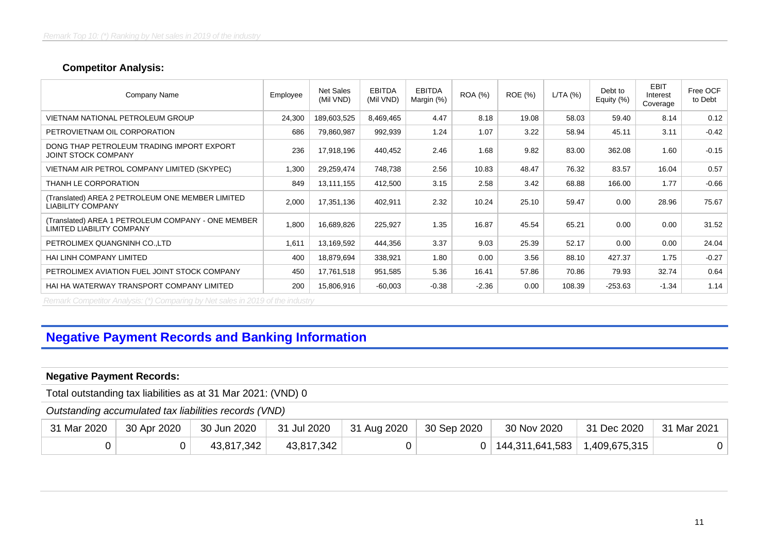#### **Competitor Analysis:**

| Company Name                                                                    | Employee | Net Sales<br>(Mil VND) | <b>EBITDA</b><br>(Mil VND) | <b>EBITDA</b><br>Margin (%) | <b>ROA</b> (%) | <b>ROE</b> (%) | L/TA(%) | Debt to<br>Equity (%) | <b>EBIT</b><br>Interest<br>Coverage | Free OCF<br>to Debt |
|---------------------------------------------------------------------------------|----------|------------------------|----------------------------|-----------------------------|----------------|----------------|---------|-----------------------|-------------------------------------|---------------------|
| VIETNAM NATIONAL PETROLEUM GROUP                                                | 24,300   | 189,603,525            | 8,469,465                  | 4.47                        | 8.18           | 19.08          | 58.03   | 59.40                 | 8.14                                | 0.12                |
| PETROVIETNAM OIL CORPORATION                                                    | 686      | 79,860,987             | 992,939                    | 1.24                        | 1.07           | 3.22           | 58.94   | 45.11                 | 3.11                                | $-0.42$             |
| DONG THAP PETROLEUM TRADING IMPORT EXPORT<br>JOINT STOCK COMPANY                | 236      | 17,918,196             | 440,452                    | 2.46                        | 1.68           | 9.82           | 83.00   | 362.08                | 1.60                                | $-0.15$             |
| VIETNAM AIR PETROL COMPANY LIMITED (SKYPEC)                                     | 1,300    | 29,259,474             | 748,738                    | 2.56                        | 10.83          | 48.47          | 76.32   | 83.57                 | 16.04                               | 0.57                |
| THANH LE CORPORATION                                                            | 849      | 13,111,155             | 412,500                    | 3.15                        | 2.58           | 3.42           | 68.88   | 166.00                | 1.77                                | $-0.66$             |
| (Translated) AREA 2 PETROLEUM ONE MEMBER LIMITED<br><b>LIABILITY COMPANY</b>    | 2,000    | 17,351,136             | 402,911                    | 2.32                        | 10.24          | 25.10          | 59.47   | 0.00                  | 28.96                               | 75.67               |
| (Translated) AREA 1 PETROLEUM COMPANY - ONE MEMBER<br>LIMITED LIABILITY COMPANY | 1,800    | 16,689,826             | 225,927                    | 1.35                        | 16.87          | 45.54          | 65.21   | 0.00                  | 0.00                                | 31.52               |
| PETROLIMEX QUANGNINH CO., LTD                                                   | 1,611    | 13,169,592             | 444,356                    | 3.37                        | 9.03           | 25.39          | 52.17   | 0.00                  | 0.00                                | 24.04               |
| <b>HAI LINH COMPANY LIMITED</b>                                                 | 400      | 18,879,694             | 338,921                    | 1.80                        | 0.00           | 3.56           | 88.10   | 427.37                | 1.75                                | $-0.27$             |
| PETROLIMEX AVIATION FUEL JOINT STOCK COMPANY                                    | 450      | 17,761,518             | 951,585                    | 5.36                        | 16.41          | 57.86          | 70.86   | 79.93                 | 32.74                               | 0.64                |
| HAI HA WATERWAY TRANSPORT COMPANY LIMITED                                       | 200      | 15,806,916             | $-60,003$                  | $-0.38$                     | $-2.36$        | 0.00           | 108.39  | $-253.63$             | $-1.34$                             | 1.14                |

*Remark Competitor Analysis: (\*) Comparing by Net sales in 2019 of the industry*

# **Negative Payment Records and Banking Information**

#### **Negative Payment Records:**

Total outstanding tax liabilities as at 31 Mar 2021: (VND) 0

#### *Outstanding accumulated tax liabilities records (VND)*

| 31 Mar 2020 | 30 Apr 2020 | 30 Jun 2020 | 31 Jul 2020 | 31 Aug 2020 | $\vert$ 30 Sep 2020 | 30 Nov 2020                           | 31 Dec 2020 | 31 Mar 2021 |
|-------------|-------------|-------------|-------------|-------------|---------------------|---------------------------------------|-------------|-------------|
|             |             | 43,817,342  | 43,817,342  |             |                     | $0$   144,311,641,583   1,409,675,315 |             | 0           |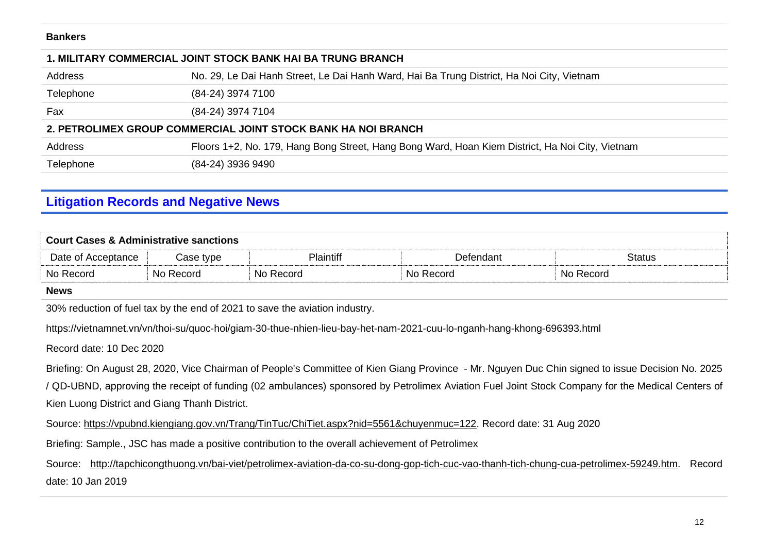#### **Bankers**

| <b>1. MILITARY COMMERCIAL JOINT STOCK BANK HAI BA TRUNG BRANCH</b> |                                                                                                 |  |  |  |  |  |
|--------------------------------------------------------------------|-------------------------------------------------------------------------------------------------|--|--|--|--|--|
| Address                                                            | No. 29, Le Dai Hanh Street, Le Dai Hanh Ward, Hai Ba Trung District, Ha Noi City, Vietnam       |  |  |  |  |  |
| Telephone                                                          | (84-24) 3974 7100                                                                               |  |  |  |  |  |
| Fax                                                                | (84-24) 3974 7104                                                                               |  |  |  |  |  |
|                                                                    | 2. PETROLIMEX GROUP COMMERCIAL JOINT STOCK BANK HA NOI BRANCH                                   |  |  |  |  |  |
| Address                                                            | Floors 1+2, No. 179, Hang Bong Street, Hang Bong Ward, Hoan Kiem District, Ha Noi City, Vietnam |  |  |  |  |  |
| Telephone                                                          | (84-24) 3936 9490                                                                               |  |  |  |  |  |
|                                                                    |                                                                                                 |  |  |  |  |  |

## **Litigation Records and Negative News**

| <b>Court Cases &amp; Administrative sanctions</b> |           |                  |           |               |  |  |  |  |
|---------------------------------------------------|-----------|------------------|-----------|---------------|--|--|--|--|
| Date of Acceptance                                | Case type | <b>Plaintiff</b> | Defendant | <b>Status</b> |  |  |  |  |
| No Record                                         | No Record | No Record        | No Record | No Record     |  |  |  |  |

#### **News**

30% reduction of fuel tax by the end of 2021 to save the aviation industry.

https://vietnamnet.vn/vn/thoi-su/quoc-hoi/giam-30-thue-nhien-lieu-bay-het-nam-2021-cuu-lo-nganh-hang-khong-696393.html

Record date: 10 Dec 2020

Briefing: On August 28, 2020, Vice Chairman of People's Committee of Kien Giang Province - Mr. Nguyen Duc Chin signed to issue Decision No. 2025 / QD-UBND, approving the receipt of funding (02 ambulances) sponsored by Petrolimex Aviation Fuel Joint Stock Company for the Medical Centers of Kien Luong District and Giang Thanh District.

Source: [https://vpubnd.kiengiang.gov.vn/Trang/TinTuc/ChiTiet.aspx?nid=5561&chuyenmuc=122.](https://vpubnd.kiengiang.gov.vn/Trang/TinTuc/ChiTiet.aspx?nid=5561&chuyenmuc=122) Record date: 31 Aug 2020

Briefing: Sample., JSC has made a positive contribution to the overall achievement of Petrolimex

Source: [http://tapchicongthuong.vn/bai-viet/petrolimex-aviation-da-co-su-dong-gop-tich-cuc-vao-thanh-tich-chung-cua-petrolimex-59249.htm.](http://tapchicongthuong.vn/bai-viet/petrolimex-aviation-da-co-su-dong-gop-tich-cuc-vao-thanh-tich-chung-cua-petrolimex-59249.htm) Record date: 10 Jan 2019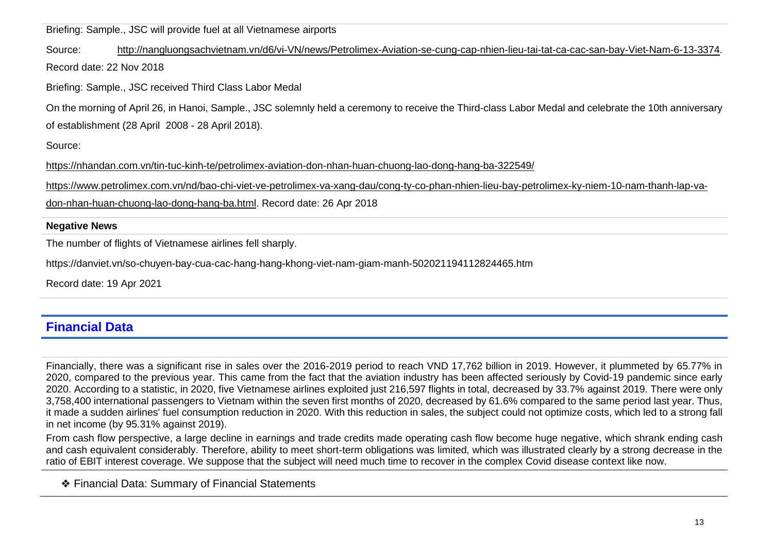Briefing: Sample., JSC will provide fuel at all Vietnamese airports

Source: [http://nangluongsachvietnam.vn/d6/vi-VN/news/Petrolimex-Aviation-se-cung-cap-nhien-lieu-tai-tat-ca-cac-san-bay-Viet-Nam-6-13-3374.](http://nangluongsachvietnam.vn/d6/vi-VN/news/Petrolimex-Aviation-se-cung-cap-nhien-lieu-tai-tat-ca-cac-san-bay-Viet-Nam-6-13-3374) Record date: 22 Nov 2018

Briefing: Sample., JSC received Third Class Labor Medal

On the morning of April 26, in Hanoi, Sample., JSC solemnly held a ceremony to receive the Third-class Labor Medal and celebrate the 10th anniversary of establishment (28 April 2008 - 28 April 2018).

Source:

<https://nhandan.com.vn/tin-tuc-kinh-te/petrolimex-aviation-don-nhan-huan-chuong-lao-dong-hang-ba-322549/>

[https://www.petrolimex.com.vn/nd/bao-chi-viet-ve-petrolimex-va-xang-dau/cong-ty-co-phan-nhien-lieu-bay-petrolimex-ky-niem-10-nam-thanh-lap-va-](https://www.petrolimex.com.vn/nd/bao-chi-viet-ve-petrolimex-va-xang-dau/cong-ty-co-phan-nhien-lieu-bay-petrolimex-ky-niem-10-nam-thanh-lap-va-don-nhan-huan-chuong-lao-dong-hang-ba.html)

[don-nhan-huan-chuong-lao-dong-hang-ba.html.](https://www.petrolimex.com.vn/nd/bao-chi-viet-ve-petrolimex-va-xang-dau/cong-ty-co-phan-nhien-lieu-bay-petrolimex-ky-niem-10-nam-thanh-lap-va-don-nhan-huan-chuong-lao-dong-hang-ba.html) Record date: 26 Apr 2018

#### **Negative News**

The number of flights of Vietnamese airlines fell sharply.

https://danviet.vn/so-chuyen-bay-cua-cac-hang-hang-khong-viet-nam-giam-manh-502021194112824465.htm

Record date: 19 Apr 2021

## **Financial Data**

Financially, there was a significant rise in sales over the 2016-2019 period to reach VND 17,762 billion in 2019. However, it plummeted by 65.77% in 2020, compared to the previous year. This came from the fact that the aviation industry has been affected seriously by Covid-19 pandemic since early 2020. According to a statistic, in 2020, five Vietnamese airlines exploited just 216,597 flights in total, decreased by 33.7% against 2019. There were only 3,758,400 international passengers to Vietnam within the seven first months of 2020, decreased by 61.6% compared to the same period last year. Thus, it made a sudden airlines' fuel consumption reduction in 2020. With this reduction in sales, the subject could not optimize costs, which led to a strong fall in net income (by 95.31% against 2019).

From cash flow perspective, a large decline in earnings and trade credits made operating cash flow become huge negative, which shrank ending cash and cash equivalent considerably. Therefore, ability to meet short-term obligations was limited, which was illustrated clearly by a strong decrease in the ratio of EBIT interest coverage. We suppose that the subject will need much time to recover in the complex Covid disease context like now.

❖ Financial Data: Summary of Financial Statements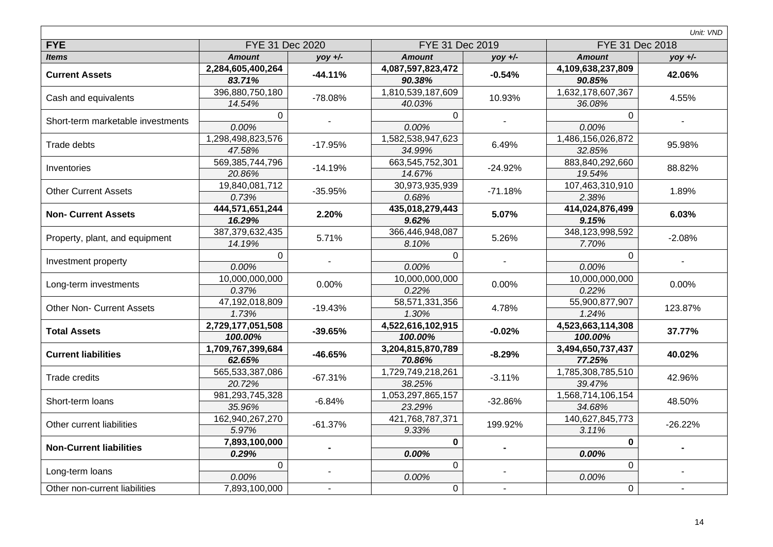|                                   |                         |           |                         |           |                         | Unit: VND |  |
|-----------------------------------|-------------------------|-----------|-------------------------|-----------|-------------------------|-----------|--|
| <b>FYE</b>                        | FYE 31 Dec 2020         |           | FYE 31 Dec 2019         |           | FYE 31 Dec 2018         |           |  |
| <b>Items</b>                      | <b>Amount</b>           | $yoy +/-$ | <b>Amount</b>           | $yoy +/-$ | <b>Amount</b>           | $yoy +/-$ |  |
| <b>Current Assets</b>             | 2,284,605,400,264       | $-44.11%$ | 4,087,597,823,472       | $-0.54%$  | 4,109,638,237,809       | 42.06%    |  |
|                                   | 83.71%                  |           | 90.38%                  |           | 90.85%                  |           |  |
| Cash and equivalents              | 396,880,750,180         | -78.08%   | 1,810,539,187,609       | 10.93%    | 1,632,178,607,367       | 4.55%     |  |
|                                   | 14.54%                  |           | 40.03%                  |           | 36.08%                  |           |  |
| Short-term marketable investments | $\mathbf 0$             |           | $\Omega$                |           | $\mathbf{0}$            |           |  |
|                                   | 0.00%                   |           | 0.00%                   |           | 0.00%                   |           |  |
| Trade debts                       | 1,298,498,823,576       | $-17.95%$ | 1,582,538,947,623       | 6.49%     | 1,486,156,026,872       | 95.98%    |  |
|                                   | 47.58%                  |           | 34.99%                  |           | 32.85%                  |           |  |
| Inventories                       | 569,385,744,796         | $-14.19%$ | 663,545,752,301         | $-24.92%$ | 883,840,292,660         | 88.82%    |  |
|                                   | 20.86%                  |           | 14.67%                  |           | 19.54%                  |           |  |
| <b>Other Current Assets</b>       | 19,840,081,712          | $-35.95%$ | 30,973,935,939          | $-71.18%$ | 107,463,310,910         | 1.89%     |  |
|                                   | 0.73%                   |           | 0.68%                   |           | 2.38%                   |           |  |
| <b>Non- Current Assets</b>        | 444,571,651,244         | 2.20%     | 435,018,279,443         | 5.07%     | 414,024,876,499         | 6.03%     |  |
|                                   | 16.29%                  |           | 9.62%                   |           | 9.15%                   |           |  |
| Property, plant, and equipment    | 387,379,632,435         | 5.71%     | 366,446,948,087         | 5.26%     | 348,123,998,592         | $-2.08%$  |  |
|                                   | 14.19%                  |           | 8.10%                   |           | 7.70%                   |           |  |
| Investment property               | $\mathbf 0$             |           | $\mathbf 0$             |           | $\mathbf 0$             |           |  |
|                                   | 0.00%                   |           | 0.00%                   |           | 0.00%                   |           |  |
| Long-term investments             | 10,000,000,000          | 0.00%     | 10,000,000,000          | 0.00%     | 10,000,000,000          | 0.00%     |  |
|                                   | 0.37%<br>47,192,018,809 |           | 0.22%<br>58,571,331,356 |           | 0.22%<br>55,900,877,907 |           |  |
| <b>Other Non- Current Assets</b>  | 1.73%                   | $-19.43%$ | 1.30%                   | 4.78%     | 1.24%                   | 123.87%   |  |
|                                   | 2,729,177,051,508       |           | 4,522,616,102,915       |           | 4,523,663,114,308       |           |  |
| <b>Total Assets</b>               | 100.00%                 | $-39.65%$ | 100.00%                 | $-0.02%$  | 100.00%                 | 37.77%    |  |
|                                   | 1,709,767,399,684       |           | 3,204,815,870,789       |           | 3,494,650,737,437       |           |  |
| <b>Current liabilities</b>        | 62.65%                  | $-46.65%$ | 70.86%                  | $-8.29%$  | 77.25%                  | 40.02%    |  |
|                                   | 565,533,387,086         |           | 1,729,749,218,261       |           | 1,785,308,785,510       |           |  |
| <b>Trade credits</b>              | 20.72%                  | $-67.31%$ | 38.25%                  | $-3.11%$  | 39.47%                  | 42.96%    |  |
|                                   | 981,293,745,328         |           | 1,053,297,865,157       |           | 1,568,714,106,154       |           |  |
| Short-term loans                  | 35.96%                  | $-6.84%$  | 23.29%                  | $-32.86%$ | 34.68%                  | 48.50%    |  |
|                                   | 162,940,267,270         |           | 421,768,787,371         |           | 140,627,845,773         |           |  |
| Other current liabilities         | 5.97%                   | $-61.37%$ | 9.33%                   | 199.92%   | 3.11%                   | $-26.22%$ |  |
| <b>Non-Current liabilities</b>    | 7,893,100,000           |           | $\bf{0}$                |           | $\bf{0}$                |           |  |
|                                   | 0.29%                   |           | 0.00%                   |           | 0.00%                   |           |  |
|                                   | $\mathbf 0$             |           | $\Omega$                |           | $\mathbf{0}$            |           |  |
| Long-term loans                   | 0.00%                   |           | 0.00%                   |           | 0.00%                   |           |  |
| Other non-current liabilities     | 7,893,100,000           |           | $\mathbf 0$             |           | $\mathbf 0$             |           |  |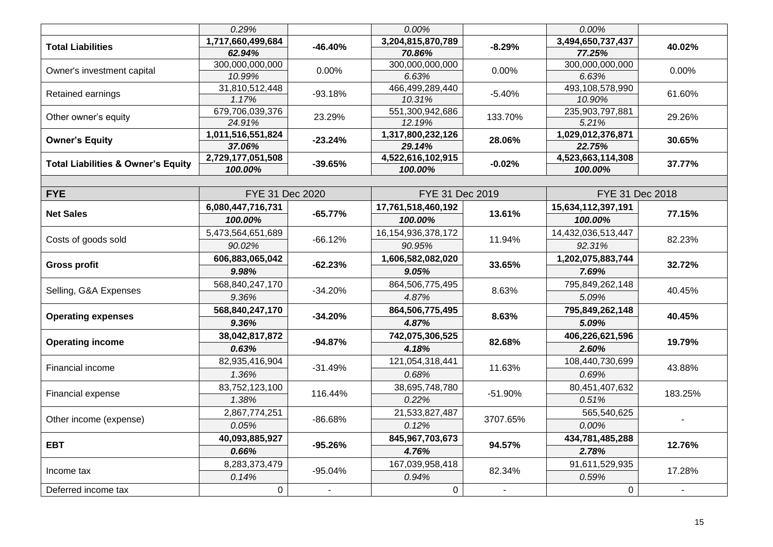|                                               | 0.29%             |                | 0.00%                  |                | 0.00%              |         |  |
|-----------------------------------------------|-------------------|----------------|------------------------|----------------|--------------------|---------|--|
|                                               | 1,717,660,499,684 |                | 3,204,815,870,789      |                | 3,494,650,737,437  |         |  |
| <b>Total Liabilities</b>                      | 62.94%            | $-46.40%$      | 70.86%                 | $-8.29%$       | 77.25%             | 40.02%  |  |
|                                               | 300,000,000,000   | 0.00%          | 300,000,000,000        | 0.00%          | 300,000,000,000    | 0.00%   |  |
| Owner's investment capital                    | 10.99%            |                | 6.63%                  |                | 6.63%              |         |  |
| Retained earnings                             | 31,810,512,448    | $-93.18%$      | 466,499,289,440        | $-5.40%$       | 493,108,578,990    | 61.60%  |  |
|                                               | 1.17%             |                | 10.31%                 |                | 10.90%             |         |  |
| Other owner's equity                          | 679,706,039,376   | 23.29%         | 551,300,942,686        | 133.70%        | 235,903,797,881    | 29.26%  |  |
|                                               | 24.91%            |                | 12.19%                 |                | 5.21%              |         |  |
| <b>Owner's Equity</b>                         | 1,011,516,551,824 | $-23.24%$      | 1,317,800,232,126      | 28.06%         | 1,029,012,376,871  | 30.65%  |  |
|                                               | 37.06%            |                | 29.14%                 |                | 22.75%             |         |  |
| <b>Total Liabilities &amp; Owner's Equity</b> | 2,729,177,051,508 | $-39.65%$      | 4,522,616,102,915      | $-0.02%$       | 4,523,663,114,308  | 37.77%  |  |
|                                               | 100.00%           |                | 100.00%                |                | 100.00%            |         |  |
|                                               |                   |                |                        |                |                    |         |  |
| <b>FYE</b>                                    | FYE 31 Dec 2020   |                | FYE 31 Dec 2019        |                | FYE 31 Dec 2018    |         |  |
| <b>Net Sales</b>                              | 6,080,447,716,731 | $-65.77%$      | 17,761,518,460,192     | 13.61%         | 15,634,112,397,191 | 77.15%  |  |
|                                               | 100.00%           |                | 100.00%                |                | 100.00%            |         |  |
|                                               | 5,473,564,651,689 | $-66.12%$      | 16, 154, 936, 378, 172 | 11.94%         | 14,432,036,513,447 | 82.23%  |  |
| Costs of goods sold                           | 90.02%            |                | 90.95%                 |                | 92.31%             |         |  |
|                                               | 606,883,065,042   | $-62.23%$      | 1,606,582,082,020      | 33.65%         | 1,202,075,883,744  |         |  |
| <b>Gross profit</b>                           | 9.98%             |                | 9.05%                  |                | 7.69%              | 32.72%  |  |
|                                               | 568,840,247,170   | $-34.20%$      | 864,506,775,495        | 8.63%          | 795,849,262,148    | 40.45%  |  |
| Selling, G&A Expenses                         | 9.36%             |                | 4.87%                  |                | 5.09%              |         |  |
|                                               | 568,840,247,170   |                | 864,506,775,495        | 8.63%          | 795,849,262,148    |         |  |
| <b>Operating expenses</b>                     | 9.36%             | $-34.20%$      | 4.87%                  |                | 5.09%              | 40.45%  |  |
|                                               | 38,042,817,872    |                | 742,075,306,525        | 82.68%         | 406,226,621,596    |         |  |
| <b>Operating income</b>                       | 0.63%             | $-94.87%$      | 4.18%                  |                | 2.60%              | 19.79%  |  |
|                                               | 82,935,416,904    |                | 121,054,318,441        |                | 108,440,730,699    |         |  |
| Financial income                              | 1.36%             | $-31.49%$      | 0.68%                  | 11.63%         | 0.69%              | 43.88%  |  |
|                                               | 83,752,123,100    |                | 38,695,748,780         |                | 80,451,407,632     |         |  |
| Financial expense                             | 1.38%             | 116.44%        | 0.22%                  | $-51.90%$      | 0.51%              | 183.25% |  |
|                                               | 2,867,774,251     |                | 21,533,827,487         |                | 565,540,625        |         |  |
| Other income (expense)                        | 0.05%             | $-86.68%$      | 0.12%                  | 3707.65%       | 0.00%              |         |  |
|                                               | 40,093,885,927    | $-95.26%$      | 845,967,703,673        | 94.57%         | 434,781,485,288    |         |  |
| <b>EBT</b>                                    | 0.66%             |                | 4.76%                  |                | 2.78%              | 12.76%  |  |
|                                               | 8,283,373,479     |                | 167,039,958,418        |                | 91,611,529,935     |         |  |
| Income tax                                    | 0.14%             | $-95.04%$      | 0.94%                  | 82.34%         | 0.59%              | 17.28%  |  |
| Deferred income tax                           | $\mathsf{O}$      | $\blacksquare$ | $\mathsf{O}$           | $\blacksquare$ | $\overline{0}$     | $\sim$  |  |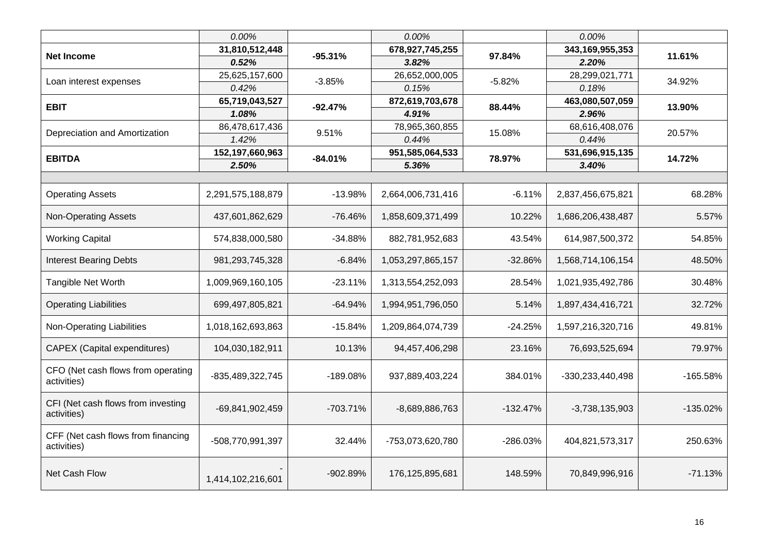|                                                   | 0.00%             |            | 0.00%             |            | 0.00%             |            |
|---------------------------------------------------|-------------------|------------|-------------------|------------|-------------------|------------|
| <b>Net Income</b>                                 | 31,810,512,448    | $-95.31%$  | 678,927,745,255   | 97.84%     | 343,169,955,353   | 11.61%     |
|                                                   | 0.52%             |            | 3.82%             |            | 2.20%             |            |
| Loan interest expenses                            | 25,625,157,600    | $-3.85%$   | 26,652,000,005    | $-5.82%$   | 28,299,021,771    | 34.92%     |
|                                                   | 0.42%             |            | 0.15%             |            | 0.18%             |            |
| <b>EBIT</b>                                       | 65,719,043,527    | $-92.47%$  | 872,619,703,678   | 88.44%     | 463,080,507,059   | 13.90%     |
|                                                   | 1.08%             |            | 4.91%             |            | 2.96%             |            |
| Depreciation and Amortization                     | 86,478,617,436    | 9.51%      | 78,965,360,855    | 15.08%     | 68,616,408,076    | 20.57%     |
|                                                   | 1.42%             |            | 0.44%             |            | 0.44%             |            |
| <b>EBITDA</b>                                     | 152,197,660,963   | $-84.01%$  | 951,585,064,533   | 78.97%     | 531,696,915,135   | 14.72%     |
|                                                   | 2.50%             |            | 5.36%             |            | 3.40%             |            |
|                                                   |                   |            |                   |            |                   |            |
| <b>Operating Assets</b>                           | 2,291,575,188,879 | $-13.98%$  | 2,664,006,731,416 | $-6.11%$   | 2,837,456,675,821 | 68.28%     |
| <b>Non-Operating Assets</b>                       | 437,601,862,629   | $-76.46%$  | 1,858,609,371,499 | 10.22%     | 1,686,206,438,487 | 5.57%      |
| <b>Working Capital</b>                            | 574,838,000,580   | $-34.88%$  | 882,781,952,683   | 43.54%     | 614,987,500,372   | 54.85%     |
| <b>Interest Bearing Debts</b>                     | 981,293,745,328   | $-6.84%$   | 1,053,297,865,157 | $-32.86%$  | 1,568,714,106,154 | 48.50%     |
| Tangible Net Worth                                | 1,009,969,160,105 | $-23.11%$  | 1,313,554,252,093 | 28.54%     | 1,021,935,492,786 | 30.48%     |
| <b>Operating Liabilities</b>                      | 699,497,805,821   | $-64.94%$  | 1,994,951,796,050 | 5.14%      | 1,897,434,416,721 | 32.72%     |
| <b>Non-Operating Liabilities</b>                  | 1,018,162,693,863 | $-15.84%$  | 1,209,864,074,739 | $-24.25%$  | 1,597,216,320,716 | 49.81%     |
| <b>CAPEX</b> (Capital expenditures)               | 104,030,182,911   | 10.13%     | 94,457,406,298    | 23.16%     | 76,693,525,694    | 79.97%     |
| CFO (Net cash flows from operating<br>activities) | -835,489,322,745  | $-189.08%$ | 937,889,403,224   | 384.01%    | -330,233,440,498  | $-165.58%$ |
| CFI (Net cash flows from investing<br>activities) | -69,841,902,459   | $-703.71%$ | -8,689,886,763    | $-132.47%$ | $-3,738,135,903$  | $-135.02%$ |
| CFF (Net cash flows from financing<br>activities) | -508,770,991,397  | 32.44%     | -753,073,620,780  | -286.03%   | 404,821,573,317   | 250.63%    |
| Net Cash Flow                                     | 1,414,102,216,601 | -902.89%   | 176,125,895,681   | 148.59%    | 70,849,996,916    | $-71.13%$  |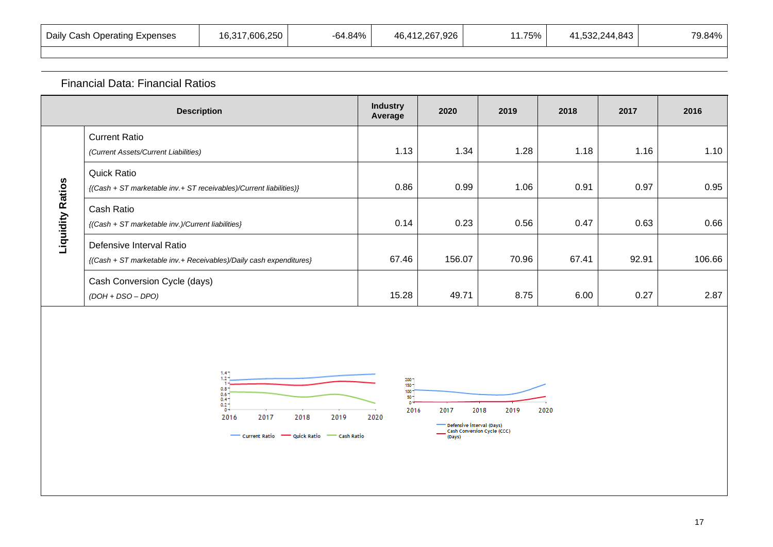| Daily Cash Operating Expenses | 16,317,606,250 | -64.84% | 46,412,267,926 | 1.75% | 41,532,244,843<br>21 I | 79.84% |
|-------------------------------|----------------|---------|----------------|-------|------------------------|--------|
|-------------------------------|----------------|---------|----------------|-------|------------------------|--------|

## Financial Data: Financial Ratios

|                         | <b>Description</b>                                                                             | <b>Industry</b><br>Average | 2020   | 2019  | 2018  | 2017  | 2016   |
|-------------------------|------------------------------------------------------------------------------------------------|----------------------------|--------|-------|-------|-------|--------|
|                         | <b>Current Ratio</b><br>(Current Assets/Current Liabilities)                                   | 1.13                       | 1.34   | 1.28  | 1.18  | 1.16  | 1.10   |
|                         | <b>Quick Ratio</b><br>{(Cash + ST marketable inv.+ ST receivables)/Current liabilities)}       | 0.86                       | 0.99   | 1.06  | 0.91  | 0.97  | 0.95   |
| <b>Liquidity Ratios</b> | Cash Ratio<br>{(Cash + ST marketable inv.)/Current liabilities}                                | 0.14                       | 0.23   | 0.56  | 0.47  | 0.63  | 0.66   |
|                         | Defensive Interval Ratio<br>{(Cash + ST marketable inv.+ Receivables)/Daily cash expenditures} | 67.46                      | 156.07 | 70.96 | 67.41 | 92.91 | 106.66 |
|                         | Cash Conversion Cycle (days)<br>$(DOH + DSO - DPO)$                                            | 15.28                      | 49.71  | 8.75  | 6.00  | 0.27  | 2.87   |

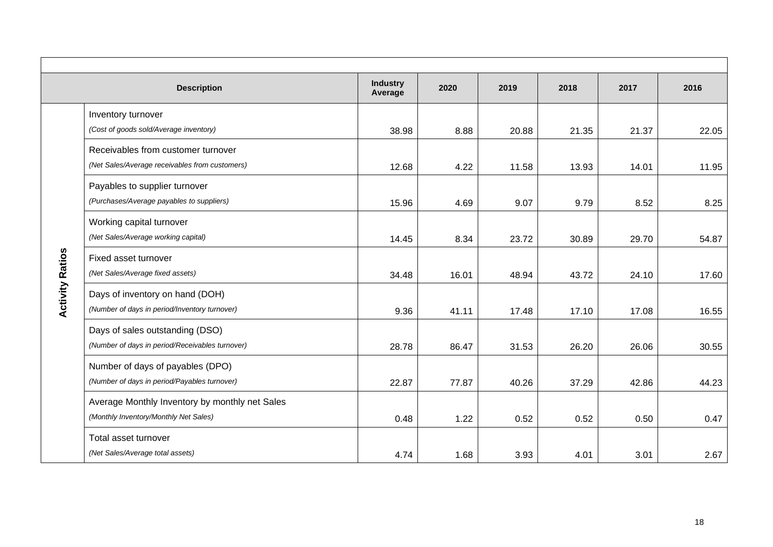|                        | <b>Description</b>                              | <b>Industry</b><br>Average | 2020  | 2019  | 2018  | 2017  | 2016  |
|------------------------|-------------------------------------------------|----------------------------|-------|-------|-------|-------|-------|
|                        | Inventory turnover                              |                            |       |       |       |       |       |
|                        | (Cost of goods sold/Average inventory)          | 38.98                      | 8.88  | 20.88 | 21.35 | 21.37 | 22.05 |
|                        | Receivables from customer turnover              |                            |       |       |       |       |       |
|                        | (Net Sales/Average receivables from customers)  | 12.68                      | 4.22  | 11.58 | 13.93 | 14.01 | 11.95 |
|                        | Payables to supplier turnover                   |                            |       |       |       |       |       |
|                        | (Purchases/Average payables to suppliers)       | 15.96                      | 4.69  | 9.07  | 9.79  | 8.52  | 8.25  |
|                        | Working capital turnover                        |                            |       |       |       |       |       |
|                        | (Net Sales/Average working capital)             | 14.45                      | 8.34  | 23.72 | 30.89 | 29.70 | 54.87 |
|                        | Fixed asset turnover                            |                            |       |       |       |       |       |
|                        | (Net Sales/Average fixed assets)                | 34.48                      | 16.01 | 48.94 | 43.72 | 24.10 | 17.60 |
| <b>Activity Ratios</b> | Days of inventory on hand (DOH)                 |                            |       |       |       |       |       |
|                        | (Number of days in period/Inventory turnover)   | 9.36                       | 41.11 | 17.48 | 17.10 | 17.08 | 16.55 |
|                        | Days of sales outstanding (DSO)                 |                            |       |       |       |       |       |
|                        | (Number of days in period/Receivables turnover) | 28.78                      | 86.47 | 31.53 | 26.20 | 26.06 | 30.55 |
|                        | Number of days of payables (DPO)                |                            |       |       |       |       |       |
|                        | (Number of days in period/Payables turnover)    | 22.87                      | 77.87 | 40.26 | 37.29 | 42.86 | 44.23 |
|                        | Average Monthly Inventory by monthly net Sales  |                            |       |       |       |       |       |
|                        | (Monthly Inventory/Monthly Net Sales)           | 0.48                       | 1.22  | 0.52  | 0.52  | 0.50  | 0.47  |
|                        | Total asset turnover                            |                            |       |       |       |       |       |
|                        | (Net Sales/Average total assets)                | 4.74                       | 1.68  | 3.93  | 4.01  | 3.01  | 2.67  |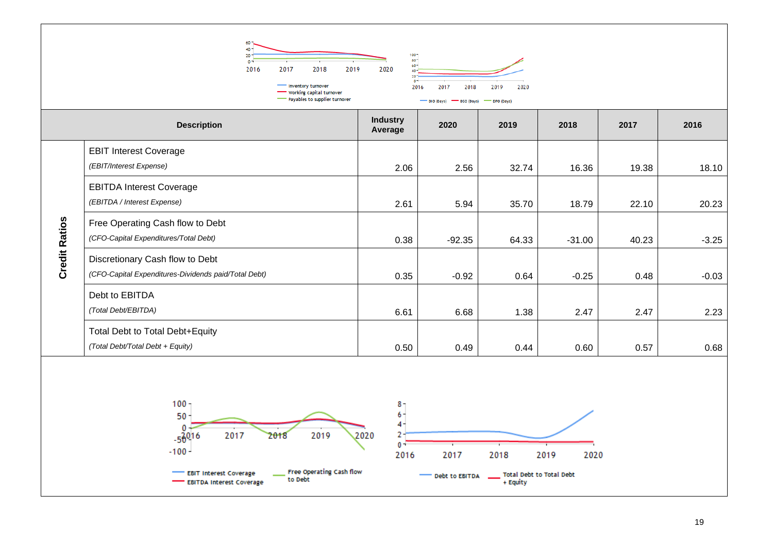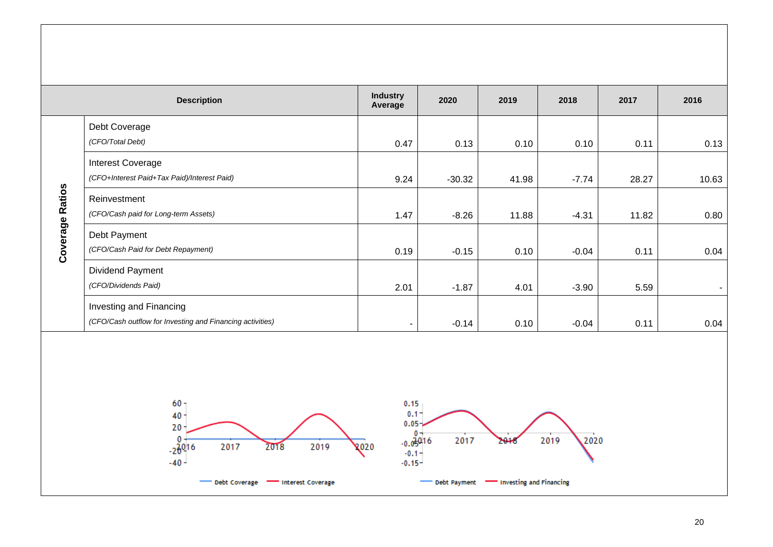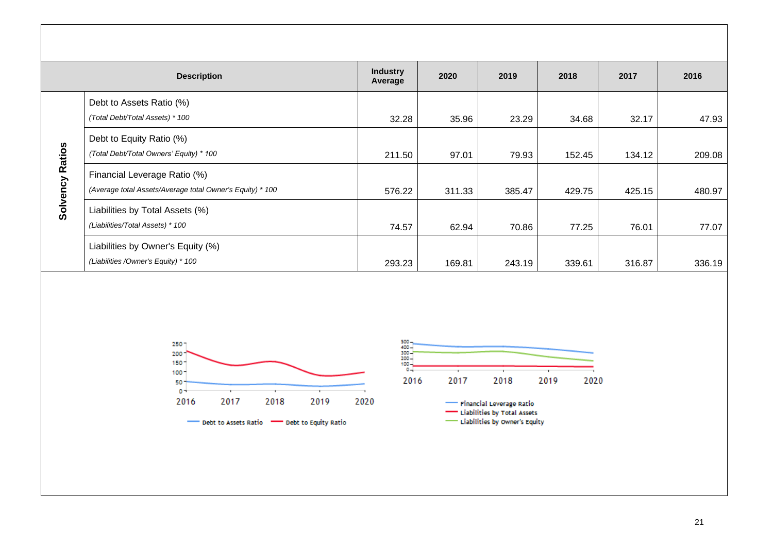|               | <b>Description</b>                                                                                     | <b>Industry</b><br>Average | 2020            | 2019            | 2018             | 2017             | 2016             |
|---------------|--------------------------------------------------------------------------------------------------------|----------------------------|-----------------|-----------------|------------------|------------------|------------------|
|               | Debt to Assets Ratio (%)                                                                               |                            |                 |                 |                  |                  |                  |
|               | (Total Debt/Total Assets) * 100<br>Debt to Equity Ratio (%)<br>(Total Debt/Total Owners' Equity) * 100 | 32.28                      | 35.96           | 23.29           | 34.68            | 32.17            | 47.93            |
| <b>Ratios</b> | Financial Leverage Ratio (%)<br>(Average total Assets/Average total Owner's Equity) * 100              | 211.50<br>576.22           | 97.01<br>311.33 | 79.93<br>385.47 | 152.45<br>429.75 | 134.12<br>425.15 | 209.08<br>480.97 |
| Solvency      | Liabilities by Total Assets (%)<br>(Liabilities/Total Assets) * 100                                    | 74.57                      | 62.94           | 70.86           | 77.25            | 76.01            | 77.07            |
|               | Liabilities by Owner's Equity (%)<br>(Liabilities / Owner's Equity) * 100                              | 293.23                     | 169.81          | 243.19          | 339.61           | 316.87           | 336.19           |





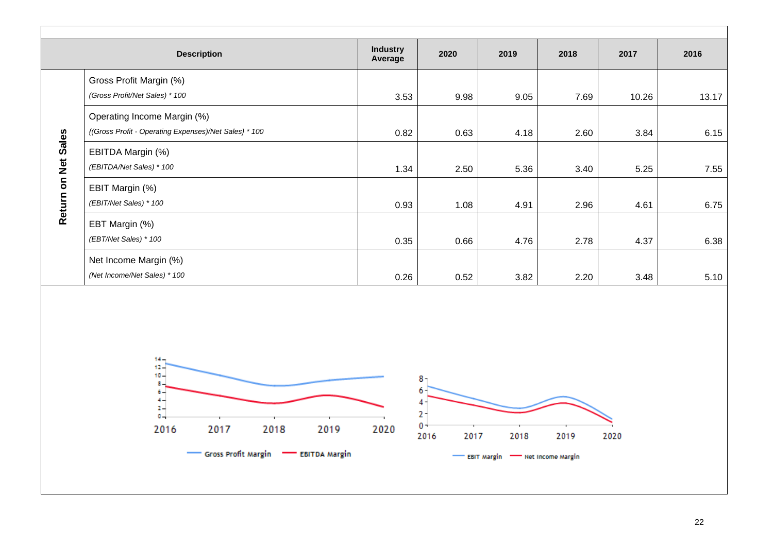|                     | <b>Description</b>                                                                   | <b>Industry</b><br>Average | 2020                                 | 2019                                              | 2018 | 2017  | 2016  |
|---------------------|--------------------------------------------------------------------------------------|----------------------------|--------------------------------------|---------------------------------------------------|------|-------|-------|
|                     | Gross Profit Margin (%)<br>(Gross Profit/Net Sales) * 100                            | 3.53                       | 9.98                                 | 9.05                                              | 7.69 | 10.26 | 13.17 |
|                     | Operating Income Margin (%)<br>{(Gross Profit - Operating Expenses)/Net Sales} * 100 | 0.82                       | 0.63                                 | 4.18                                              | 2.60 | 3.84  | 6.15  |
| Return on Net Sales | EBITDA Margin (%)<br>(EBITDA/Net Sales) * 100                                        | 1.34                       | 2.50                                 | 5.36                                              | 3.40 | 5.25  | 7.55  |
|                     | EBIT Margin (%)<br>(EBIT/Net Sales) * 100                                            | 0.93                       | 1.08                                 | 4.91                                              | 2.96 | 4.61  | 6.75  |
|                     | EBT Margin (%)<br>(EBT/Net Sales) * 100                                              | 0.35                       | 0.66                                 | 4.76                                              | 2.78 | 4.37  | 6.38  |
|                     | Net Income Margin (%)<br>(Net Income/Net Sales) * 100                                | 0.26                       | 0.52                                 | 3.82                                              | 2.20 | 3.48  | 5.10  |
|                     | $14 -$<br>$12 -$<br>$10 -$<br>$s -$<br>$6 + 4 = 2 - 1 = 0$                           |                            | $8 -$<br>6<br>$4 -$<br>$2 -$<br>$0+$ |                                                   |      |       |       |
|                     | 2017<br>2018<br>2016<br>2019<br>Gross Profit Margin <b>- EBITDA Margin</b>           | 2020                       | 2016<br>2017                         | 2018<br>EBIT Margin <b>TEME Net Income Margin</b> | 2019 | 2020  |       |
|                     |                                                                                      |                            |                                      |                                                   |      |       |       |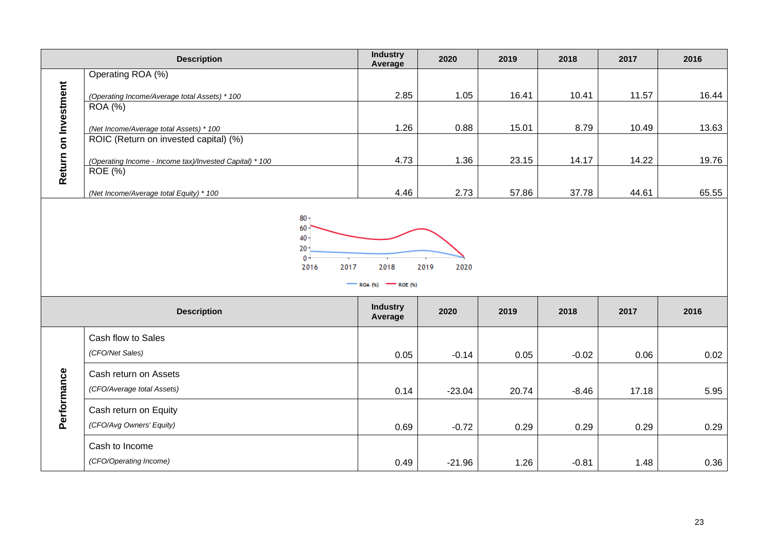|                      | <b>Description</b>                                                          | <b>Industry</b><br>Average                                             | 2020                 | 2019  | 2018    | 2017  | 2016  |
|----------------------|-----------------------------------------------------------------------------|------------------------------------------------------------------------|----------------------|-------|---------|-------|-------|
|                      | Operating ROA (%)                                                           |                                                                        |                      |       |         |       |       |
|                      | (Operating Income/Average total Assets) * 100                               | 2.85                                                                   | 1.05                 | 16.41 | 10.41   | 11.57 | 16.44 |
|                      | <b>ROA</b> (%)                                                              |                                                                        |                      |       |         |       |       |
|                      | (Net Income/Average total Assets) * 100                                     | 1.26                                                                   | 0.88                 | 15.01 | 8.79    | 10.49 | 13.63 |
|                      | ROIC (Return on invested capital) (%)                                       |                                                                        |                      |       |         |       |       |
| Return on Investment | (Operating Income - Income tax)/Invested Capital) * 100<br>ROE $(\sqrt{6})$ | 4.73                                                                   | 1.36                 | 23.15 | 14.17   | 14.22 | 19.76 |
|                      |                                                                             |                                                                        |                      |       |         |       |       |
|                      | (Net Income/Average total Equity) * 100                                     | 4.46                                                                   | 2.73                 | 57.86 | 37.78   | 44.61 | 65.55 |
|                      | $20 -$<br>$0+$<br>2016<br>2017<br><b>Description</b>                        | 2018<br>$\sim$ ROA (%)<br>$-$ ROE $(\%)$<br><b>Industry</b><br>Average | 2019<br>2020<br>2020 | 2019  | 2018    | 2017  | 2016  |
|                      | Cash flow to Sales                                                          |                                                                        |                      |       |         |       |       |
|                      | (CFO/Net Sales)                                                             | 0.05                                                                   | $-0.14$              | 0.05  | $-0.02$ | 0.06  | 0.02  |
|                      | Cash return on Assets                                                       |                                                                        |                      |       |         |       |       |
| Performance          | (CFO/Average total Assets)                                                  | 0.14                                                                   | $-23.04$             | 20.74 | $-8.46$ | 17.18 | 5.95  |
|                      | Cash return on Equity                                                       |                                                                        |                      |       |         |       |       |
|                      | (CFO/Avg Owners' Equity)                                                    | 0.69                                                                   | $-0.72$              | 0.29  | 0.29    | 0.29  | 0.29  |
|                      | Cash to Income                                                              |                                                                        |                      |       |         |       |       |
|                      | (CFO/Operating Income)                                                      | 0.49                                                                   | $-21.96$             | 1.26  | $-0.81$ | 1.48  | 0.36  |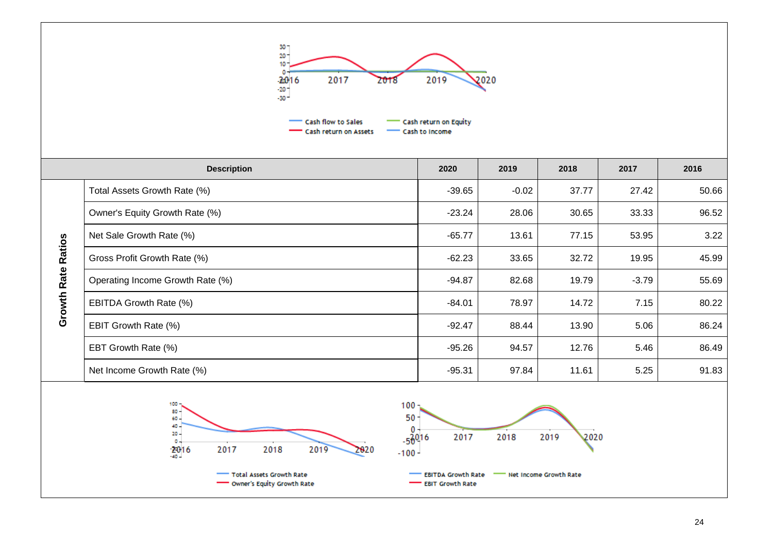

|                    | <b>Description</b>               | 2020     | 2019    | 2018  | 2017    | 2016  |
|--------------------|----------------------------------|----------|---------|-------|---------|-------|
|                    | Total Assets Growth Rate (%)     | $-39.65$ | $-0.02$ | 37.77 | 27.42   | 50.66 |
|                    | Owner's Equity Growth Rate (%)   | $-23.24$ | 28.06   | 30.65 | 33.33   | 96.52 |
|                    | Net Sale Growth Rate (%)         | $-65.77$ | 13.61   | 77.15 | 53.95   | 3.22  |
| <b>Ratios</b>      | Gross Profit Growth Rate (%)     | $-62.23$ | 33.65   | 32.72 | 19.95   | 45.99 |
|                    | Operating Income Growth Rate (%) | $-94.87$ | 82.68   | 19.79 | $-3.79$ | 55.69 |
| <b>Growth Rate</b> | EBITDA Growth Rate (%)           | $-84.01$ | 78.97   | 14.72 | 7.15    | 80.22 |
|                    | EBIT Growth Rate (%)             | $-92.47$ | 88.44   | 13.90 | 5.06    | 86.24 |
|                    | EBT Growth Rate (%)              | $-95.26$ | 94.57   | 12.76 | 5.46    | 86.49 |
|                    | Net Income Growth Rate (%)       | $-95.31$ | 97.84   | 11.61 | 5.25    | 91.83 |

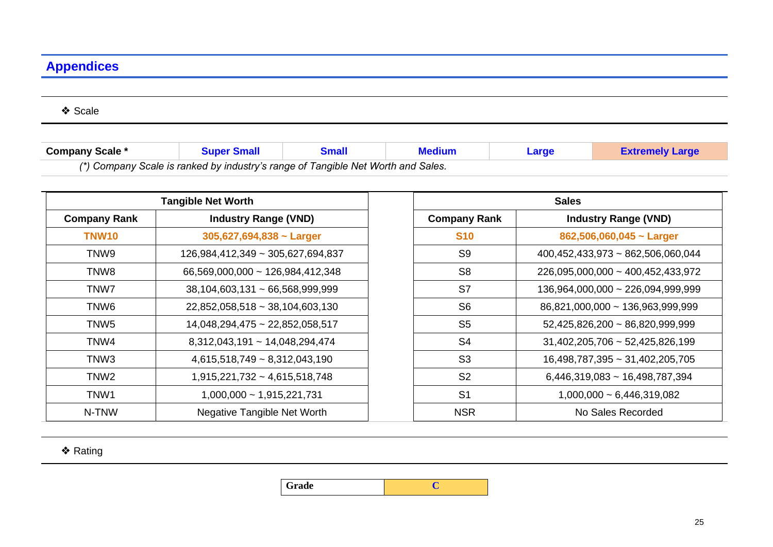# **Appendices**

❖ Scale

| Company Scale * |                                                                                  | <b>Small</b> |  | Large | <b>Extremely Large</b> |  |  |
|-----------------|----------------------------------------------------------------------------------|--------------|--|-------|------------------------|--|--|
|                 | (*) Company Scale is ranked by industry's range of Tangible Net Worth and Sales. |              |  |       |                        |  |  |

|                     | <b>Tangible Net Worth</b>            |  |  |  |  |
|---------------------|--------------------------------------|--|--|--|--|
| <b>Company Rank</b> | <b>Industry Range (VND)</b>          |  |  |  |  |
| TNW <sub>10</sub>   | $305,627,694,838$ ~ Larger           |  |  |  |  |
| TNW9                | 126,984,412,349 ~ 305,627,694,837    |  |  |  |  |
| TNW8                | 66,569,000,000 ~ 126,984,412,348     |  |  |  |  |
| TNW7                | $38,104,603,131 \sim 66,568,999,999$ |  |  |  |  |
| TNW6                | 22,852,058,518 ~ 38,104,603,130      |  |  |  |  |
| TNW5                | 14,048,294,475 ~ 22,852,058,517      |  |  |  |  |
| TNW4                | 8,312,043,191 ~ 14,048,294,474       |  |  |  |  |
| TNW <sub>3</sub>    | $4,615,518,749 \sim 8,312,043,190$   |  |  |  |  |
| TNW <sub>2</sub>    | $1,915,221,732 - 4,615,518,748$      |  |  |  |  |
| TNW1                | $1,000,000 \sim 1,915,221,731$       |  |  |  |  |
| N-TNW               | <b>Negative Tangible Net Worth</b>   |  |  |  |  |

| <b>Sales</b>        |                                      |  |  |  |  |
|---------------------|--------------------------------------|--|--|--|--|
| <b>Company Rank</b> | <b>Industry Range (VND)</b>          |  |  |  |  |
| <b>S10</b>          | 862,506,060,045 $\sim$ Larger        |  |  |  |  |
| S <sub>9</sub>      | 400,452,433,973 ~ 862,506,060,044    |  |  |  |  |
| S <sub>8</sub>      | 226,095,000,000 ~ 400,452,433,972    |  |  |  |  |
| S7                  | 136,964,000,000 ~ 226,094,999,999    |  |  |  |  |
| S <sub>6</sub>      | 86,821,000,000 ~ 136,963,999,999     |  |  |  |  |
| S <sub>5</sub>      | $52,425,826,200 \sim 86,820,999,999$ |  |  |  |  |
| S <sub>4</sub>      | $31,402,205,706 \sim 52,425,826,199$ |  |  |  |  |
| S <sub>3</sub>      | 16,498,787,395 ~ 31,402,205,705      |  |  |  |  |
| S <sub>2</sub>      | $6,446,319,083 \sim 16,498,787,394$  |  |  |  |  |
| S <sub>1</sub>      | $1,000,000 \sim 6,446,319,082$       |  |  |  |  |
| NSR                 | No Sales Recorded                    |  |  |  |  |

❖ Rating

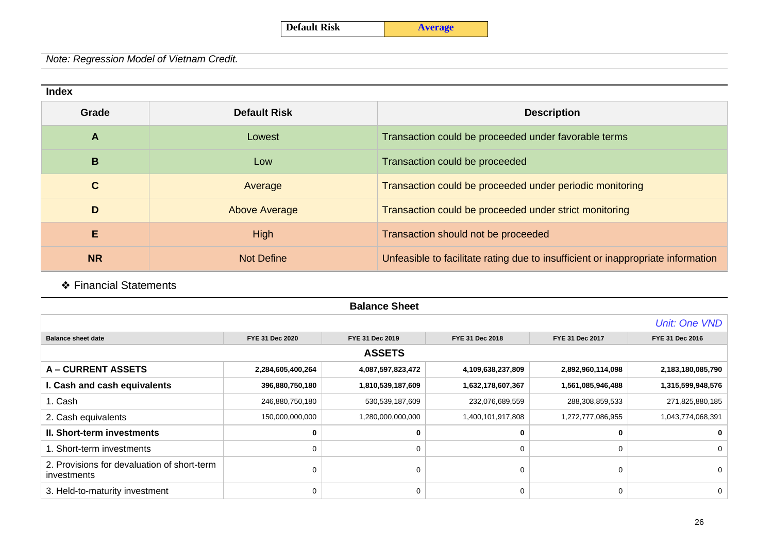#### **Index**

| Grade        | <b>Default Risk</b>  | <b>Description</b>                                                               |
|--------------|----------------------|----------------------------------------------------------------------------------|
| A            | Lowest               | Transaction could be proceeded under favorable terms                             |
| B            | Low                  | Transaction could be proceeded                                                   |
| $\mathbf{C}$ | Average              | Transaction could be proceeded under periodic monitoring                         |
| D            | <b>Above Average</b> | Transaction could be proceeded under strict monitoring                           |
| E            | High                 | Transaction should not be proceeded                                              |
| <b>NR</b>    | <b>Not Define</b>    | Unfeasible to facilitate rating due to insufficient or inappropriate information |

❖ Financial Statements

| <b>Balance Sheet</b>                                       |                   |                   |                   |                   |                   |  |  |
|------------------------------------------------------------|-------------------|-------------------|-------------------|-------------------|-------------------|--|--|
| Unit: One VND                                              |                   |                   |                   |                   |                   |  |  |
| <b>Balance sheet date</b>                                  | FYE 31 Dec 2020   | FYE 31 Dec 2019   | FYE 31 Dec 2018   | FYE 31 Dec 2017   | FYE 31 Dec 2016   |  |  |
|                                                            |                   | <b>ASSETS</b>     |                   |                   |                   |  |  |
| <b>A-CURRENT ASSETS</b>                                    | 2,284,605,400,264 | 4,087,597,823,472 | 4,109,638,237,809 | 2,892,960,114,098 | 2,183,180,085,790 |  |  |
| I. Cash and cash equivalents                               | 396,880,750,180   | 1,810,539,187,609 | 1,632,178,607,367 | 1,561,085,946,488 | 1,315,599,948,576 |  |  |
| 1. Cash                                                    | 246,880,750,180   | 530,539,187,609   | 232,076,689,559   | 288,308,859,533   | 271,825,880,185   |  |  |
| 2. Cash equivalents                                        | 150,000,000,000   | 1,280,000,000,000 | 1,400,101,917,808 | 1,272,777,086,955 | 1,043,774,068,391 |  |  |
| <b>II. Short-term investments</b>                          | 0                 |                   |                   |                   |                   |  |  |
| 1. Short-term investments                                  | 0                 | O                 | $\Omega$          | 0                 | $\Omega$          |  |  |
| 2. Provisions for devaluation of short-term<br>investments | 0                 | $\Omega$          |                   | 0                 | $\Omega$          |  |  |
| 3. Held-to-maturity investment                             | 0                 | $\Omega$          | 0                 | 0                 | 0                 |  |  |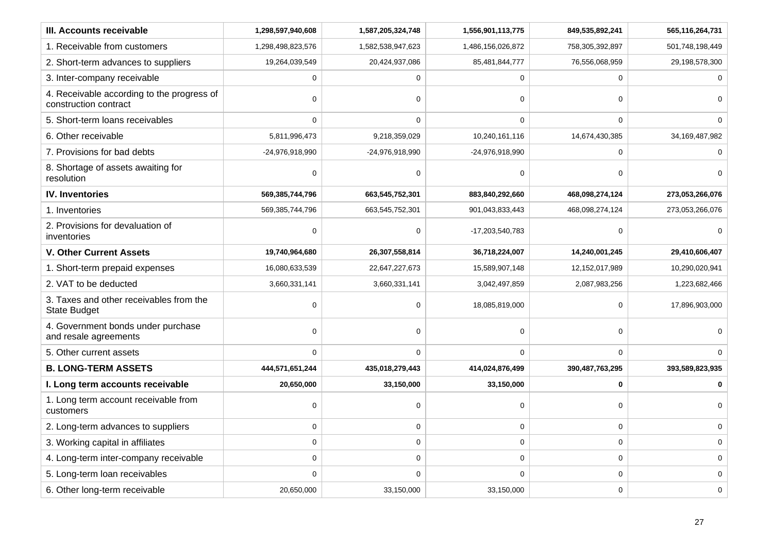| III. Accounts receivable                                            | 1,298,597,940,608 | 1,587,205,324,748 | 1,556,901,113,775 | 849,535,892,241 | 565,116,264,731 |
|---------------------------------------------------------------------|-------------------|-------------------|-------------------|-----------------|-----------------|
| 1. Receivable from customers                                        | 1,298,498,823,576 | 1,582,538,947,623 | 1,486,156,026,872 | 758,305,392,897 | 501,748,198,449 |
| 2. Short-term advances to suppliers                                 | 19,264,039,549    | 20,424,937,086    | 85,481,844,777    | 76,556,068,959  | 29,198,578,300  |
| 3. Inter-company receivable                                         |                   | 0                 | $\mathbf 0$       | 0               |                 |
| 4. Receivable according to the progress of<br>construction contract | $\Omega$          | $\Omega$          | 0                 | $\Omega$        | $\Omega$        |
| 5. Short-term loans receivables                                     | $\Omega$          | $\Omega$          | $\mathbf 0$       | $\Omega$        | $\Omega$        |
| 6. Other receivable                                                 | 5,811,996,473     | 9,218,359,029     | 10,240,161,116    | 14,674,430,385  | 34,169,487,982  |
| 7. Provisions for bad debts                                         | -24,976,918,990   | -24,976,918,990   | -24,976,918,990   | $\Omega$        | $\Omega$        |
| 8. Shortage of assets awaiting for<br>resolution                    | 0                 | $\mathbf 0$       | $\mathbf 0$       | $\Omega$        |                 |
| <b>IV. Inventories</b>                                              | 569,385,744,796   | 663,545,752,301   | 883,840,292,660   | 468,098,274,124 | 273,053,266,076 |
| 1. Inventories                                                      | 569,385,744,796   | 663,545,752,301   | 901,043,833,443   | 468,098,274,124 | 273,053,266,076 |
| 2. Provisions for devaluation of<br>inventories                     | $\Omega$          | $\Omega$          | -17,203,540,783   | $\Omega$        |                 |
| <b>V. Other Current Assets</b>                                      | 19,740,964,680    | 26,307,558,814    | 36,718,224,007    | 14,240,001,245  | 29,410,606,407  |
| 1. Short-term prepaid expenses                                      | 16,080,633,539    | 22,647,227,673    | 15,589,907,148    | 12,152,017,989  | 10,290,020,941  |
| 2. VAT to be deducted                                               | 3,660,331,141     | 3,660,331,141     | 3,042,497,859     | 2,087,983,256   | 1,223,682,466   |
| 3. Taxes and other receivables from the<br><b>State Budget</b>      | $\Omega$          | $\mathbf 0$       | 18,085,819,000    | $\mathbf 0$     | 17,896,903,000  |
| 4. Government bonds under purchase<br>and resale agreements         | $\Omega$          | $\mathbf 0$       | $\mathbf 0$       | $\mathbf 0$     |                 |
| 5. Other current assets                                             | $\Omega$          | $\mathbf 0$       | $\Omega$          | 0               | $\Omega$        |
| <b>B. LONG-TERM ASSETS</b>                                          | 444,571,651,244   | 435,018,279,443   | 414,024,876,499   | 390,487,763,295 | 393,589,823,935 |
| I. Long term accounts receivable                                    | 20,650,000        | 33,150,000        | 33,150,000        | 0               |                 |
| 1. Long term account receivable from<br>customers                   | $\Omega$          | 0                 | 0                 | 0               | $\Omega$        |
| 2. Long-term advances to suppliers                                  | 0                 | $\mathbf 0$       | 0                 | 0               | $\Omega$        |
| 3. Working capital in affiliates                                    | 0                 | $\mathbf 0$       | $\mathbf 0$       | $\mathbf 0$     | $\mathbf 0$     |
| 4. Long-term inter-company receivable                               | $\Omega$          | $\Omega$          | $\mathbf 0$       | 0               | $\Omega$        |
| 5. Long-term loan receivables                                       | $\Omega$          | $\Omega$          | $\Omega$          | 0               | $\mathbf 0$     |
| 6. Other long-term receivable                                       | 20,650,000        | 33,150,000        | 33,150,000        | 0               | $\mathbf 0$     |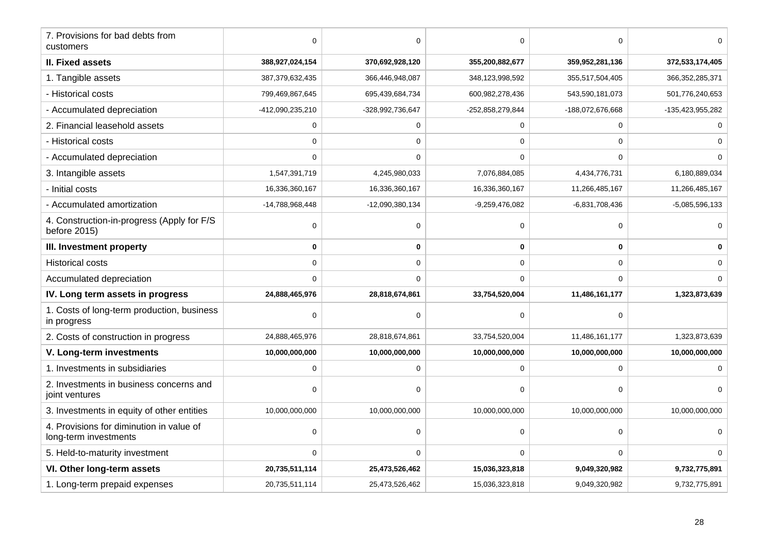| 7. Provisions for bad debts from<br>customers                     | $\Omega$         | 0                | $\mathbf 0$      | 0                |                    |
|-------------------------------------------------------------------|------------------|------------------|------------------|------------------|--------------------|
| II. Fixed assets                                                  | 388,927,024,154  | 370,692,928,120  | 355,200,882,677  | 359,952,281,136  | 372,533,174,405    |
| 1. Tangible assets                                                | 387,379,632,435  | 366,446,948,087  | 348,123,998,592  | 355,517,504,405  | 366, 352, 285, 371 |
| - Historical costs                                                | 799,469,867,645  | 695,439,684,734  | 600,982,278,436  | 543,590,181,073  | 501,776,240,653    |
| - Accumulated depreciation                                        | -412,090,235,210 | -328,992,736,647 | -252,858,279,844 | -188,072,676,668 | -135,423,955,282   |
| 2. Financial leasehold assets                                     | 0                | $\mathbf 0$      | $\mathbf 0$      | 0                |                    |
| - Historical costs                                                | $\mathbf 0$      | $\mathbf 0$      | $\mathbf 0$      | $\mathbf 0$      |                    |
| - Accumulated depreciation                                        | $\Omega$         | $\Omega$         | $\Omega$         | $\Omega$         |                    |
| 3. Intangible assets                                              | 1,547,391,719    | 4,245,980,033    | 7,076,884,085    | 4,434,776,731    | 6,180,889,034      |
| - Initial costs                                                   | 16,336,360,167   | 16,336,360,167   | 16,336,360,167   | 11,266,485,167   | 11,266,485,167     |
| - Accumulated amortization                                        | -14,788,968,448  | -12,090,380,134  | -9,259,476,082   | $-6,831,708,436$ | $-5.085,596,133$   |
| 4. Construction-in-progress (Apply for F/S<br>before 2015)        | 0                | 0                | $\pmb{0}$        | 0                |                    |
| III. Investment property                                          | 0                | 0                | 0                | $\mathbf{0}$     |                    |
| <b>Historical costs</b>                                           | $\Omega$         | $\mathbf 0$      | $\mathbf 0$      | 0                |                    |
| Accumulated depreciation                                          | $\Omega$         | $\Omega$         | $\mathbf 0$      | $\Omega$         |                    |
| IV. Long term assets in progress                                  | 24,888,465,976   | 28,818,674,861   | 33,754,520,004   | 11,486,161,177   | 1,323,873,639      |
| 1. Costs of long-term production, business<br>in progress         | 0                | $\Omega$         | $\mathbf 0$      | 0                |                    |
| 2. Costs of construction in progress                              | 24,888,465,976   | 28,818,674,861   | 33,754,520,004   | 11,486,161,177   | 1,323,873,639      |
| V. Long-term investments                                          | 10,000,000,000   | 10,000,000,000   | 10,000,000,000   | 10,000,000,000   | 10,000,000,000     |
| 1. Investments in subsidiaries                                    | $\Omega$         | $\Omega$         | $\mathbf 0$      | 0                |                    |
| 2. Investments in business concerns and<br>joint ventures         | $\Omega$         | $\Omega$         | 0                | 0                | $\Omega$           |
| 3. Investments in equity of other entities                        | 10,000,000,000   | 10,000,000,000   | 10,000,000,000   | 10,000,000,000   | 10,000,000,000     |
| 4. Provisions for diminution in value of<br>long-term investments | $\Omega$         | 0                | $\mathbf 0$      | O                |                    |
| 5. Held-to-maturity investment                                    | $\Omega$         | $\mathbf 0$      | $\mathbf 0$      | $\Omega$         | $\Omega$           |
| VI. Other long-term assets                                        | 20,735,511,114   | 25,473,526,462   | 15,036,323,818   | 9,049,320,982    | 9,732,775,891      |
| 1. Long-term prepaid expenses                                     | 20,735,511,114   | 25,473,526,462   | 15,036,323,818   | 9,049,320,982    | 9,732,775,891      |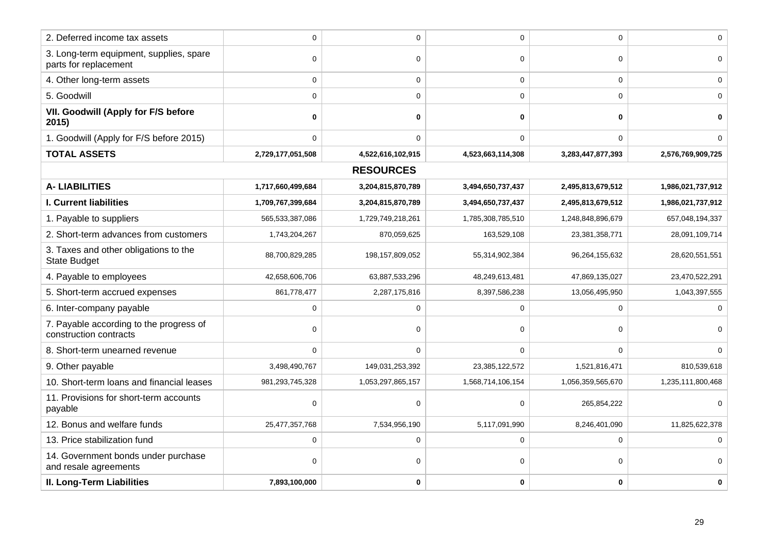| 2. Deferred income tax assets                                     | $\Omega$          | $\mathbf 0$       | $\overline{0}$    | $\overline{0}$    | $\Omega$          |
|-------------------------------------------------------------------|-------------------|-------------------|-------------------|-------------------|-------------------|
| 3. Long-term equipment, supplies, spare                           |                   |                   |                   |                   |                   |
| parts for replacement                                             | $\Omega$          | $\mathbf 0$       | $\mathbf 0$       | 0                 | $\Omega$          |
| 4. Other long-term assets                                         | $\Omega$          | 0                 | $\mathbf 0$       | $\Omega$          | $\Omega$          |
| 5. Goodwill                                                       | $\Omega$          | $\Omega$          | $\mathbf 0$       | $\Omega$          |                   |
| VII. Goodwill (Apply for F/S before<br>2015)                      | 0                 | 0                 | $\mathbf 0$       | $\bf{0}$          |                   |
| 1. Goodwill (Apply for F/S before 2015)                           | $\Omega$          | $\mathbf 0$       | $\mathbf 0$       | 0                 |                   |
| <b>TOTAL ASSETS</b>                                               | 2,729,177,051,508 | 4,522,616,102,915 | 4,523,663,114,308 | 3,283,447,877,393 | 2,576,769,909,725 |
|                                                                   |                   | <b>RESOURCES</b>  |                   |                   |                   |
| <b>A-LIABILITIES</b>                                              | 1,717,660,499,684 | 3,204,815,870,789 | 3,494,650,737,437 | 2,495,813,679,512 | 1,986,021,737,912 |
| I. Current liabilities                                            | 1,709,767,399,684 | 3,204,815,870,789 | 3,494,650,737,437 | 2,495,813,679,512 | 1,986,021,737,912 |
| 1. Payable to suppliers                                           | 565,533,387,086   | 1,729,749,218,261 | 1,785,308,785,510 | 1,248,848,896,679 | 657,048,194,337   |
| 2. Short-term advances from customers                             | 1,743,204,267     | 870,059,625       | 163,529,108       | 23,381,358,771    | 28,091,109,714    |
| 3. Taxes and other obligations to the<br><b>State Budget</b>      | 88,700,829,285    | 198,157,809,052   | 55,314,902,384    | 96,264,155,632    | 28,620,551,551    |
| 4. Payable to employees                                           | 42,658,606,706    | 63,887,533,296    | 48,249,613,481    | 47,869,135,027    | 23,470,522,291    |
| 5. Short-term accrued expenses                                    | 861,778,477       | 2,287,175,816     | 8,397,586,238     | 13,056,495,950    | 1,043,397,555     |
| 6. Inter-company payable                                          | $\Omega$          | $\mathbf 0$       | $\mathbf 0$       | $\mathbf 0$       |                   |
| 7. Payable according to the progress of<br>construction contracts | 0                 | $\Omega$          | 0                 | 0                 |                   |
| 8. Short-term unearned revenue                                    | $\Omega$          | $\mathbf 0$       | $\mathbf 0$       | 0                 |                   |
| 9. Other payable                                                  | 3,498,490,767     | 149,031,253,392   | 23,385,122,572    | 1,521,816,471     | 810,539,618       |
| 10. Short-term loans and financial leases                         | 981,293,745,328   | 1,053,297,865,157 | 1,568,714,106,154 | 1,056,359,565,670 | 1,235,111,800,468 |
| 11. Provisions for short-term accounts<br>payable                 | 0                 | 0                 | 0                 | 265,854,222       |                   |
| 12. Bonus and welfare funds                                       | 25,477,357,768    | 7,534,956,190     | 5,117,091,990     | 8,246,401,090     | 11,825,622,378    |
| 13. Price stabilization fund                                      | $\Omega$          | $\mathbf 0$       | $\mathbf 0$       | 0                 |                   |
| 14. Government bonds under purchase<br>and resale agreements      | $\Omega$          | 0                 | 0                 | 0                 | 0                 |
| <b>II. Long-Term Liabilities</b>                                  | 7,893,100,000     | 0                 | $\bf{0}$          | 0                 | 0                 |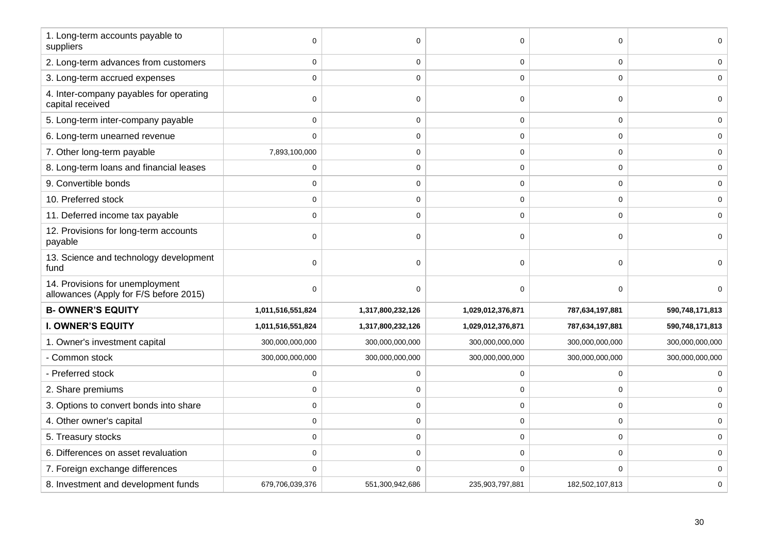| 1. Long-term accounts payable to<br>suppliers                             | $\Omega$          | $\Omega$          | $\mathbf 0$       | 0               |                 |
|---------------------------------------------------------------------------|-------------------|-------------------|-------------------|-----------------|-----------------|
| 2. Long-term advances from customers                                      | $\mathbf 0$       | 0                 | $\mathbf 0$       | $\mathbf 0$     |                 |
| 3. Long-term accrued expenses                                             | $\mathbf 0$       | 0                 | $\mathbf 0$       | $\mathbf 0$     |                 |
| 4. Inter-company payables for operating<br>capital received               | $\Omega$          | $\Omega$          | $\pmb{0}$         | 0               |                 |
| 5. Long-term inter-company payable                                        | $\Omega$          | 0                 | $\mathbf 0$       | 0               |                 |
| 6. Long-term unearned revenue                                             | $\Omega$          | 0                 | $\mathbf 0$       | $\mathbf 0$     | 0               |
| 7. Other long-term payable                                                | 7,893,100,000     | 0                 | $\pmb{0}$         | $\mathbf 0$     |                 |
| 8. Long-term loans and financial leases                                   | $\mathbf 0$       | 0                 | $\mathbf 0$       | 0               | 0               |
| 9. Convertible bonds                                                      | $\mathbf 0$       | 0                 | $\pmb{0}$         | $\mathbf 0$     |                 |
| 10. Preferred stock                                                       | $\Omega$          | $\Omega$          | $\pmb{0}$         | 0               |                 |
| 11. Deferred income tax payable                                           | $\mathbf 0$       | 0                 | $\mathbf 0$       | 0               | 0               |
| 12. Provisions for long-term accounts<br>payable                          | $\mathbf 0$       | 0                 | $\mathbf 0$       | 0               |                 |
| 13. Science and technology development<br>fund                            | $\Omega$          | $\Omega$          | $\mathbf 0$       | 0               |                 |
| 14. Provisions for unemployment<br>allowances (Apply for F/S before 2015) | $\Omega$          | $\Omega$          | $\mathbf 0$       | 0               | $\Omega$        |
| <b>B- OWNER'S EQUITY</b>                                                  | 1,011,516,551,824 | 1,317,800,232,126 | 1,029,012,376,871 | 787,634,197,881 | 590,748,171,813 |
| <b>I. OWNER'S EQUITY</b>                                                  | 1,011,516,551,824 | 1,317,800,232,126 | 1,029,012,376,871 | 787,634,197,881 | 590,748,171,813 |
| 1. Owner's investment capital                                             | 300,000,000,000   | 300,000,000,000   | 300,000,000,000   | 300,000,000,000 | 300,000,000,000 |
| - Common stock                                                            | 300,000,000,000   | 300,000,000,000   | 300,000,000,000   | 300,000,000,000 | 300,000,000,000 |
| - Preferred stock                                                         | $\Omega$          | 0                 | $\mathbf 0$       | 0               |                 |
| 2. Share premiums                                                         | $\mathbf 0$       | 0                 | $\mathbf 0$       | $\mathbf 0$     |                 |
| 3. Options to convert bonds into share                                    | $\Omega$          | $\Omega$          | $\mathbf 0$       | 0               |                 |
| 4. Other owner's capital                                                  | $\mathbf 0$       | 0                 | $\mathbf 0$       | 0               |                 |
| 5. Treasury stocks                                                        | $\Omega$          | $\Omega$          | $\mathbf 0$       | $\mathbf 0$     |                 |
| 6. Differences on asset revaluation                                       | $\mathbf 0$       | $\Omega$          | $\pmb{0}$         | $\mathbf 0$     | 0               |
| 7. Foreign exchange differences                                           | $\Omega$          | $\Omega$          | $\mathbf 0$       | 0               |                 |
| 8. Investment and development funds                                       | 679,706,039,376   | 551,300,942,686   | 235,903,797,881   | 182,502,107,813 | 0               |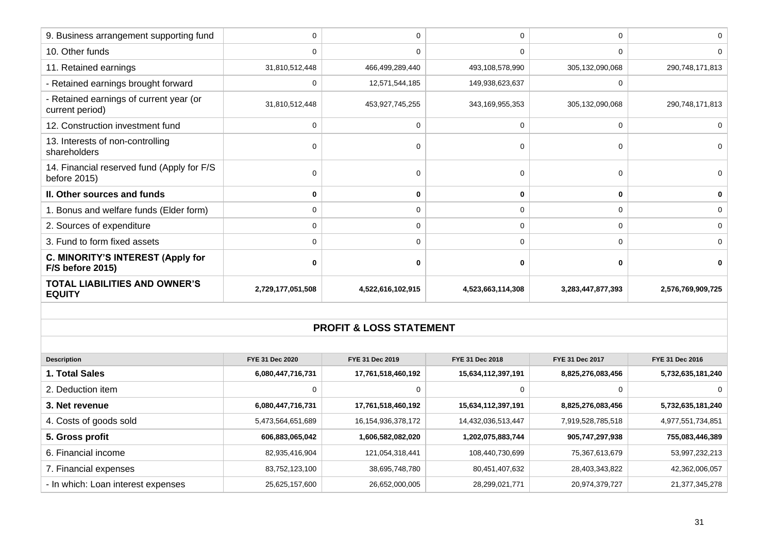| 9. Business arrangement supporting fund                      | 0                 |                   | $\Omega$           |                   |                   |
|--------------------------------------------------------------|-------------------|-------------------|--------------------|-------------------|-------------------|
| 10. Other funds                                              | 0                 | 0                 | 0                  | 0                 |                   |
| 11. Retained earnings                                        | 31,810,512,448    | 466,499,289,440   | 493,108,578,990    | 305,132,090,068   | 290,748,171,813   |
| - Retained earnings brought forward                          | 0                 | 12,571,544,185    | 149,938,623,637    | $\Omega$          |                   |
| - Retained earnings of current year (or<br>current period)   | 31,810,512,448    | 453,927,745,255   | 343, 169, 955, 353 | 305,132,090,068   | 290,748,171,813   |
| 12. Construction investment fund                             | 0                 | 0                 | 0                  | 0                 |                   |
| 13. Interests of non-controlling<br>shareholders             | $\Omega$          | $\Omega$          | $\Omega$           | 0                 |                   |
| 14. Financial reserved fund (Apply for F/S<br>before 2015)   | $\Omega$          | $\Omega$          | 0                  | 0                 |                   |
| II. Other sources and funds                                  | 0                 | 0                 | 0                  | 0                 | $\bf{0}$          |
| 1. Bonus and welfare funds (Elder form)                      | 0                 | 0                 | 0                  | U                 | 0                 |
| 2. Sources of expenditure                                    | 0                 | 0                 | 0                  | U                 | 0                 |
| 3. Fund to form fixed assets                                 | 0                 | 0                 | $\mathbf 0$        | 0                 | 0                 |
| C. MINORITY'S INTEREST (Apply for<br><b>F/S before 2015)</b> | 0                 | ŋ                 | 0                  | U                 |                   |
| <b>TOTAL LIABILITIES AND OWNER'S</b><br><b>EQUITY</b>        | 2,729,177,051,508 | 4,522,616,102,915 | 4,523,663,114,308  | 3,283,447,877,393 | 2,576,769,909,725 |

#### **PROFIT & LOSS STATEMENT**

| <b>Description</b>                 | FYE 31 Dec 2020   | FYE 31 Dec 2019        | FYE 31 Dec 2018    | FYE 31 Dec 2017   | FYE 31 Dec 2016   |
|------------------------------------|-------------------|------------------------|--------------------|-------------------|-------------------|
| 1. Total Sales                     | 6,080,447,716,731 | 17,761,518,460,192     | 15,634,112,397,191 | 8,825,276,083,456 | 5,732,635,181,240 |
| 2. Deduction item                  |                   |                        | 0                  |                   |                   |
| 3. Net revenue                     | 6,080,447,716,731 | 17,761,518,460,192     | 15,634,112,397,191 | 8,825,276,083,456 | 5,732,635,181,240 |
| 4. Costs of goods sold             | 5,473,564,651,689 | 16, 154, 936, 378, 172 | 14,432,036,513,447 | 7,919,528,785,518 | 4,977,551,734,851 |
| 5. Gross profit                    | 606,883,065,042   | 1,606,582,082,020      | 1,202,075,883,744  | 905,747,297,938   | 755,083,446,389   |
| 6. Financial income                | 82,935,416,904    | 121,054,318,441        | 108,440,730,699    | 75,367,613,679    | 53,997,232,213    |
| 7. Financial expenses              | 83,752,123,100    | 38,695,748,780         | 80,451,407,632     | 28,403,343,822    | 42,362,006,057    |
| - In which: Loan interest expenses | 25,625,157,600    | 26,652,000,005         | 28,299,021,771     | 20,974,379,727    | 21,377,345,278    |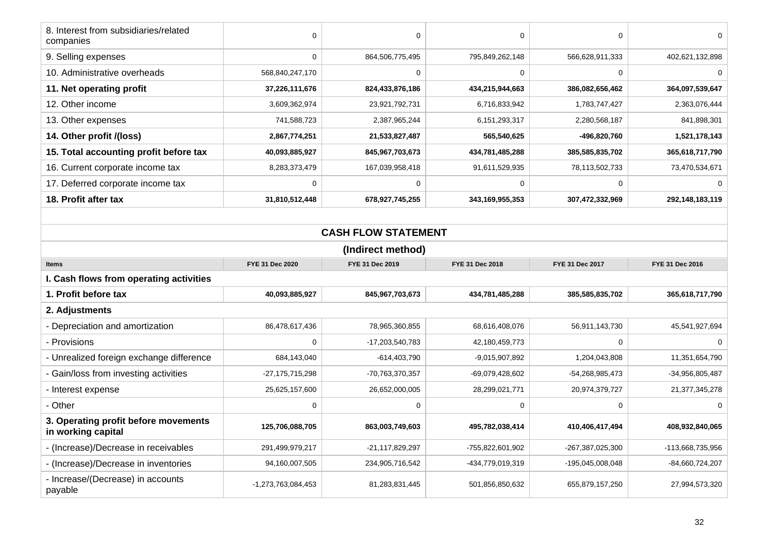| 8. Interest from subsidiaries/related<br>companies                                                          | $\mathbf 0$     | $\mathbf 0$                | $\pmb{0}$        | 0                | $\Omega$          |  |  |
|-------------------------------------------------------------------------------------------------------------|-----------------|----------------------------|------------------|------------------|-------------------|--|--|
| 9. Selling expenses                                                                                         | $\mathbf 0$     | 864,506,775,495            | 795,849,262,148  | 566,628,911,333  | 402,621,132,898   |  |  |
| 10. Administrative overheads                                                                                | 568,840,247,170 | $\mathbf 0$                | 0                | $\mathbf 0$      | $\Omega$          |  |  |
| 11. Net operating profit                                                                                    | 37,226,111,676  | 824,433,876,186            | 434,215,944,663  | 386,082,656,462  | 364,097,539,647   |  |  |
| 12. Other income                                                                                            | 3,609,362,974   | 23,921,792,731             | 6,716,833,942    | 1,783,747,427    | 2,363,076,444     |  |  |
| 13. Other expenses                                                                                          | 741,588,723     | 2,387,965,244              | 6,151,293,317    | 2,280,568,187    | 841,898,301       |  |  |
| 14. Other profit /(loss)                                                                                    | 2,867,774,251   | 21,533,827,487             | 565,540,625      | -496,820,760     | 1,521,178,143     |  |  |
| 15. Total accounting profit before tax                                                                      | 40,093,885,927  | 845,967,703,673            | 434,781,485,288  | 385,585,835,702  | 365,618,717,790   |  |  |
| 16. Current corporate income tax                                                                            | 8,283,373,479   | 167,039,958,418            | 91,611,529,935   | 78,113,502,733   | 73,470,534,671    |  |  |
| 17. Deferred corporate income tax                                                                           | $\Omega$        | $\Omega$                   | $\Omega$         | $\Omega$         | $\Omega$          |  |  |
| 18. Profit after tax                                                                                        | 31,810,512,448  | 678,927,745,255            | 343,169,955,353  | 307,472,332,969  | 292,148,183,119   |  |  |
|                                                                                                             |                 |                            |                  |                  |                   |  |  |
|                                                                                                             |                 | <b>CASH FLOW STATEMENT</b> |                  |                  |                   |  |  |
| (Indirect method)                                                                                           |                 |                            |                  |                  |                   |  |  |
| FYE 31 Dec 2019<br>FYE 31 Dec 2020<br>FYE 31 Dec 2018<br>FYE 31 Dec 2017<br>FYE 31 Dec 2016<br><b>Items</b> |                 |                            |                  |                  |                   |  |  |
|                                                                                                             |                 |                            |                  |                  |                   |  |  |
| I. Cash flows from operating activities                                                                     |                 |                            |                  |                  |                   |  |  |
| 1. Profit before tax                                                                                        | 40,093,885,927  | 845,967,703,673            | 434,781,485,288  | 385,585,835,702  | 365,618,717,790   |  |  |
| 2. Adjustments                                                                                              |                 |                            |                  |                  |                   |  |  |
| - Depreciation and amortization                                                                             | 86,478,617,436  | 78,965,360,855             | 68,616,408,076   | 56,911,143,730   | 45,541,927,694    |  |  |
| - Provisions                                                                                                | $\mathbf 0$     | -17,203,540,783            | 42,180,459,773   | $\mathbf 0$      | 0                 |  |  |
| - Unrealized foreign exchange difference                                                                    | 684,143,040     | $-614,403,790$             | $-9,015,907,892$ | 1,204,043,808    | 11,351,654,790    |  |  |
| - Gain/loss from investing activities                                                                       | -27,175,715,298 | -70,763,370,357            | -69,079,428,602  | -54,268,985,473  | -34,956,805,487   |  |  |
| - Interest expense                                                                                          | 25,625,157,600  | 26,652,000,005             | 28,299,021,771   | 20,974,379,727   | 21,377,345,278    |  |  |
| - Other                                                                                                     | 0               | 0                          | $\pmb{0}$        | 0                | 0                 |  |  |
| 3. Operating profit before movements<br>in working capital                                                  | 125,706,088,705 | 863,003,749,603            | 495,782,038,414  | 410,406,417,494  | 408,932,840,065   |  |  |
| - (Increase)/Decrease in receivables                                                                        | 291,499,979,217 | $-21, 117, 829, 297$       | -755,822,601,902 | -267,387,025,300 | -113,668,735,956  |  |  |
| - (Increase)/Decrease in inventories                                                                        | 94,160,007,505  | 234,905,716,542            | -434,779,019,319 | -195,045,008,048 | $-84,660,724,207$ |  |  |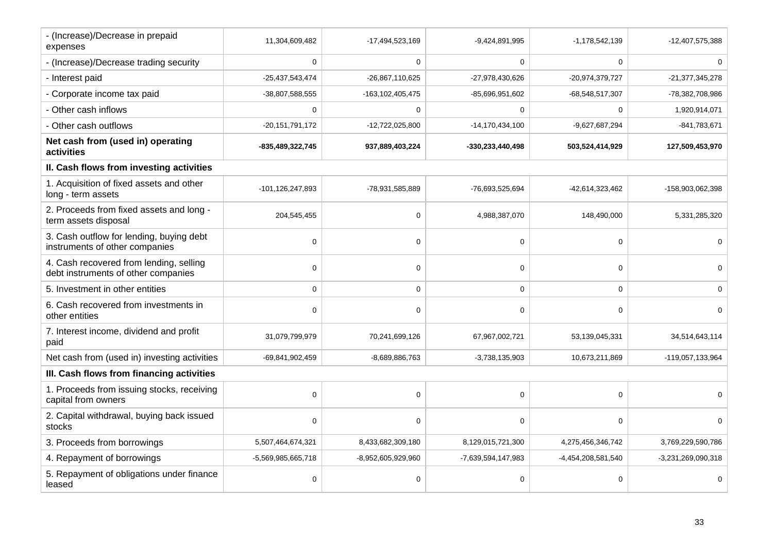| - (Increase)/Decrease in prepaid<br>expenses                                   | 11,304,609,482       | -17,494,523,169    | $-9,424,891,995$     | -1,178,542,139     | -12,407,575,388    |
|--------------------------------------------------------------------------------|----------------------|--------------------|----------------------|--------------------|--------------------|
| - (Increase)/Decrease trading security                                         | $\Omega$             | 0                  | 0                    | $\mathbf 0$        |                    |
| - Interest paid                                                                | $-25,437,543,474$    | $-26,867,110,625$  | -27,978,430,626      | $-20,974,379,727$  | $-21,377,345,278$  |
| - Corporate income tax paid                                                    | -38,807,588,555      | -163,102,405,475   | -85,696,951,602      | -68,548,517,307    | -78,382,708,986    |
| - Other cash inflows                                                           | $\Omega$             | 0                  | $\Omega$             | $\Omega$           | 1,920,914,071      |
| - Other cash outflows                                                          | $-20, 151, 791, 172$ | -12,722,025,800    | $-14, 170, 434, 100$ | -9,627,687,294     | -841,783,671       |
| Net cash from (used in) operating<br>activities                                | -835,489,322,745     | 937,889,403,224    | -330,233,440,498     | 503,524,414,929    | 127,509,453,970    |
| II. Cash flows from investing activities                                       |                      |                    |                      |                    |                    |
| 1. Acquisition of fixed assets and other<br>long - term assets                 | -101,126,247,893     | -78,931,585,889    | -76,693,525,694      | -42,614,323,462    | -158,903,062,398   |
| 2. Proceeds from fixed assets and long -<br>term assets disposal               | 204,545,455          | $\mathbf 0$        | 4,988,387,070        | 148,490,000        | 5,331,285,320      |
| 3. Cash outflow for lending, buying debt<br>instruments of other companies     | $\Omega$             | 0                  | 0                    | $\mathbf 0$        | $\Omega$           |
| 4. Cash recovered from lending, selling<br>debt instruments of other companies | $\mathbf 0$          | 0                  | 0                    | $\mathbf 0$        | $\Omega$           |
| 5. Investment in other entities                                                | $\mathbf 0$          | $\mathbf 0$        | $\mathbf 0$          | $\mathbf 0$        | $\mathbf 0$        |
| 6. Cash recovered from investments in<br>other entities                        | $\Omega$             | $\Omega$           | 0                    | 0                  | $\Omega$           |
| 7. Interest income, dividend and profit<br>paid                                | 31,079,799,979       | 70,241,699,126     | 67,967,002,721       | 53,139,045,331     | 34,514,643,114     |
| Net cash from (used in) investing activities                                   | -69,841,902,459      | -8,689,886,763     | $-3,738,135,903$     | 10,673,211,869     | -119,057,133,964   |
| III. Cash flows from financing activities                                      |                      |                    |                      |                    |                    |
| 1. Proceeds from issuing stocks, receiving<br>capital from owners              | $\Omega$             | $\Omega$           | $\mathbf 0$          | 0                  | $\Omega$           |
| 2. Capital withdrawal, buying back issued<br>stocks                            | $\Omega$             | $\Omega$           | 0                    | $\Omega$           | $\Omega$           |
| 3. Proceeds from borrowings                                                    | 5,507,464,674,321    | 8,433,682,309,180  | 8,129,015,721,300    | 4,275,456,346,742  | 3,769,229,590,786  |
| 4. Repayment of borrowings                                                     | -5,569,985,665,718   | -8,952,605,929,960 | -7,639,594,147,983   | -4,454,208,581,540 | -3,231,269,090,318 |
| 5. Repayment of obligations under finance<br>leased                            | $\Omega$             | $\Omega$           | 0                    | $\mathbf 0$        | $\mathbf 0$        |